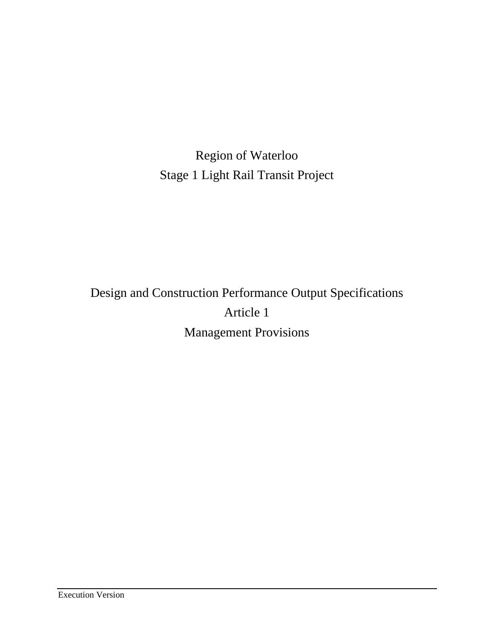Region of Waterloo Stage 1 Light Rail Transit Project

Design and Construction Performance Output Specifications Article 1 Management Provisions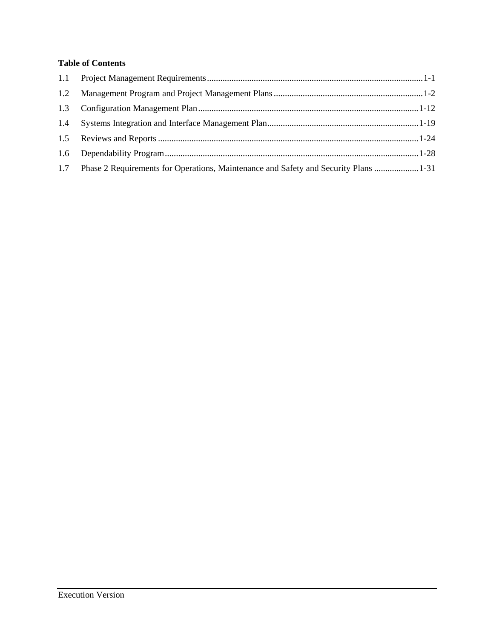# **Table of Contents**

| 1.2 |                                                                                          |  |
|-----|------------------------------------------------------------------------------------------|--|
|     |                                                                                          |  |
| 1.4 |                                                                                          |  |
|     |                                                                                          |  |
|     |                                                                                          |  |
|     | 1.7 Phase 2 Requirements for Operations, Maintenance and Safety and Security Plans  1-31 |  |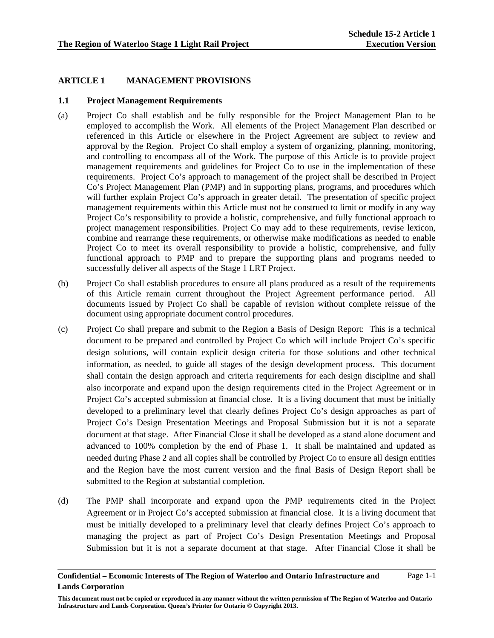Page 1-1

# **ARTICLE 1 MANAGEMENT PROVISIONS**

## **1.1 Project Management Requirements**

- (a) Project Co shall establish and be fully responsible for the Project Management Plan to be employed to accomplish the Work. All elements of the Project Management Plan described or referenced in this Article or elsewhere in the Project Agreement are subject to review and approval by the Region. Project Co shall employ a system of organizing, planning, monitoring, and controlling to encompass all of the Work. The purpose of this Article is to provide project management requirements and guidelines for Project Co to use in the implementation of these requirements. Project Co's approach to management of the project shall be described in Project Co's Project Management Plan (PMP) and in supporting plans, programs, and procedures which will further explain Project Co's approach in greater detail. The presentation of specific project management requirements within this Article must not be construed to limit or modify in any way Project Co's responsibility to provide a holistic, comprehensive, and fully functional approach to project management responsibilities. Project Co may add to these requirements, revise lexicon, combine and rearrange these requirements, or otherwise make modifications as needed to enable Project Co to meet its overall responsibility to provide a holistic, comprehensive, and fully functional approach to PMP and to prepare the supporting plans and programs needed to successfully deliver all aspects of the Stage 1 LRT Project.
- (b) Project Co shall establish procedures to ensure all plans produced as a result of the requirements of this Article remain current throughout the Project Agreement performance period. All documents issued by Project Co shall be capable of revision without complete reissue of the document using appropriate document control procedures.
- (c) Project Co shall prepare and submit to the Region a Basis of Design Report: This is a technical document to be prepared and controlled by Project Co which will include Project Co's specific design solutions, will contain explicit design criteria for those solutions and other technical information, as needed, to guide all stages of the design development process. This document shall contain the design approach and criteria requirements for each design discipline and shall also incorporate and expand upon the design requirements cited in the Project Agreement or in Project Co's accepted submission at financial close. It is a living document that must be initially developed to a preliminary level that clearly defines Project Co's design approaches as part of Project Co's Design Presentation Meetings and Proposal Submission but it is not a separate document at that stage. After Financial Close it shall be developed as a stand alone document and advanced to 100% completion by the end of Phase 1. It shall be maintained and updated as needed during Phase 2 and all copies shall be controlled by Project Co to ensure all design entities and the Region have the most current version and the final Basis of Design Report shall be submitted to the Region at substantial completion.
- (d) The PMP shall incorporate and expand upon the PMP requirements cited in the Project Agreement or in Project Co's accepted submission at financial close. It is a living document that must be initially developed to a preliminary level that clearly defines Project Co's approach to managing the project as part of Project Co's Design Presentation Meetings and Proposal Submission but it is not a separate document at that stage. After Financial Close it shall be

**Confidential – Economic Interests of The Region of Waterloo and Ontario Infrastructure and Lands Corporation** 

**This document must not be copied or reproduced in any manner without the written permission of The Region of Waterloo and Ontario Infrastructure and Lands Corporation. Queen's Printer for Ontario © Copyright 2013.**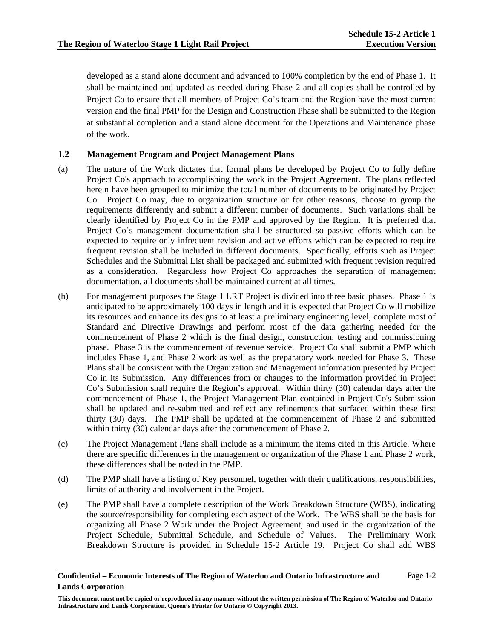Page 1-2

developed as a stand alone document and advanced to 100% completion by the end of Phase 1. It shall be maintained and updated as needed during Phase 2 and all copies shall be controlled by Project Co to ensure that all members of Project Co's team and the Region have the most current version and the final PMP for the Design and Construction Phase shall be submitted to the Region at substantial completion and a stand alone document for the Operations and Maintenance phase of the work.

# **1.2 Management Program and Project Management Plans**

- (a) The nature of the Work dictates that formal plans be developed by Project Co to fully define Project Co's approach to accomplishing the work in the Project Agreement. The plans reflected herein have been grouped to minimize the total number of documents to be originated by Project Co. Project Co may, due to organization structure or for other reasons, choose to group the requirements differently and submit a different number of documents. Such variations shall be clearly identified by Project Co in the PMP and approved by the Region. It is preferred that Project Co's management documentation shall be structured so passive efforts which can be expected to require only infrequent revision and active efforts which can be expected to require frequent revision shall be included in different documents. Specifically, efforts such as Project Schedules and the Submittal List shall be packaged and submitted with frequent revision required as a consideration. Regardless how Project Co approaches the separation of management documentation, all documents shall be maintained current at all times.
- (b) For management purposes the Stage 1 LRT Project is divided into three basic phases. Phase 1 is anticipated to be approximately 100 days in length and it is expected that Project Co will mobilize its resources and enhance its designs to at least a preliminary engineering level, complete most of Standard and Directive Drawings and perform most of the data gathering needed for the commencement of Phase 2 which is the final design, construction, testing and commissioning phase. Phase 3 is the commencement of revenue service. Project Co shall submit a PMP which includes Phase 1, and Phase 2 work as well as the preparatory work needed for Phase 3. These Plans shall be consistent with the Organization and Management information presented by Project Co in its Submission. Any differences from or changes to the information provided in Project Co's Submission shall require the Region's approval. Within thirty (30) calendar days after the commencement of Phase 1, the Project Management Plan contained in Project Co's Submission shall be updated and re-submitted and reflect any refinements that surfaced within these first thirty (30) days. The PMP shall be updated at the commencement of Phase 2 and submitted within thirty (30) calendar days after the commencement of Phase 2.
- (c) The Project Management Plans shall include as a minimum the items cited in this Article. Where there are specific differences in the management or organization of the Phase 1 and Phase 2 work, these differences shall be noted in the PMP.
- (d) The PMP shall have a listing of Key personnel, together with their qualifications, responsibilities, limits of authority and involvement in the Project.
- (e) The PMP shall have a complete description of the Work Breakdown Structure (WBS), indicating the source/responsibility for completing each aspect of the Work. The WBS shall be the basis for organizing all Phase 2 Work under the Project Agreement, and used in the organization of the Project Schedule, Submittal Schedule, and Schedule of Values. The Preliminary Work Breakdown Structure is provided in Schedule 15-2 Article 19. Project Co shall add WBS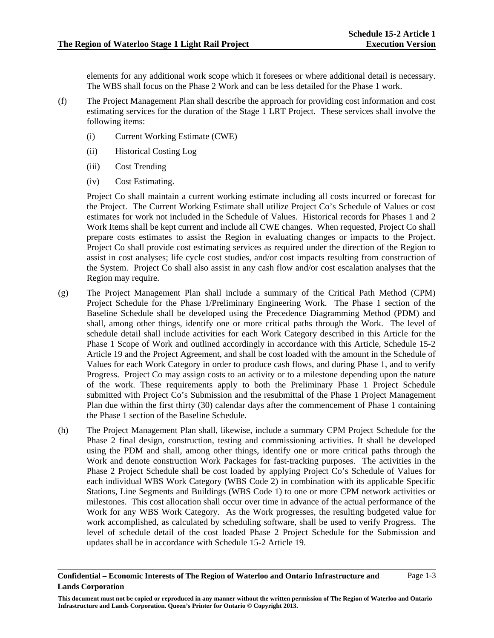elements for any additional work scope which it foresees or where additional detail is necessary. The WBS shall focus on the Phase 2 Work and can be less detailed for the Phase 1 work.

- (f) The Project Management Plan shall describe the approach for providing cost information and cost estimating services for the duration of the Stage 1 LRT Project. These services shall involve the following items:
	- (i) Current Working Estimate (CWE)
	- (ii) Historical Costing Log
	- (iii) Cost Trending
	- (iv) Cost Estimating.

Project Co shall maintain a current working estimate including all costs incurred or forecast for the Project. The Current Working Estimate shall utilize Project Co's Schedule of Values or cost estimates for work not included in the Schedule of Values. Historical records for Phases 1 and 2 Work Items shall be kept current and include all CWE changes. When requested, Project Co shall prepare costs estimates to assist the Region in evaluating changes or impacts to the Project. Project Co shall provide cost estimating services as required under the direction of the Region to assist in cost analyses; life cycle cost studies, and/or cost impacts resulting from construction of the System. Project Co shall also assist in any cash flow and/or cost escalation analyses that the Region may require.

- (g) The Project Management Plan shall include a summary of the Critical Path Method (CPM) Project Schedule for the Phase 1/Preliminary Engineering Work. The Phase 1 section of the Baseline Schedule shall be developed using the Precedence Diagramming Method (PDM) and shall, among other things, identify one or more critical paths through the Work. The level of schedule detail shall include activities for each Work Category described in this Article for the Phase 1 Scope of Work and outlined accordingly in accordance with this Article, Schedule 15-2 Article 19 and the Project Agreement, and shall be cost loaded with the amount in the Schedule of Values for each Work Category in order to produce cash flows, and during Phase 1, and to verify Progress. Project Co may assign costs to an activity or to a milestone depending upon the nature of the work. These requirements apply to both the Preliminary Phase 1 Project Schedule submitted with Project Co's Submission and the resubmittal of the Phase 1 Project Management Plan due within the first thirty (30) calendar days after the commencement of Phase 1 containing the Phase 1 section of the Baseline Schedule.
- (h) The Project Management Plan shall, likewise, include a summary CPM Project Schedule for the Phase 2 final design, construction, testing and commissioning activities. It shall be developed using the PDM and shall, among other things, identify one or more critical paths through the Work and denote construction Work Packages for fast-tracking purposes. The activities in the Phase 2 Project Schedule shall be cost loaded by applying Project Co's Schedule of Values for each individual WBS Work Category (WBS Code 2) in combination with its applicable Specific Stations, Line Segments and Buildings (WBS Code 1) to one or more CPM network activities or milestones. This cost allocation shall occur over time in advance of the actual performance of the Work for any WBS Work Category. As the Work progresses, the resulting budgeted value for work accomplished, as calculated by scheduling software, shall be used to verify Progress. The level of schedule detail of the cost loaded Phase 2 Project Schedule for the Submission and updates shall be in accordance with Schedule 15-2 Article 19.

**This document must not be copied or reproduced in any manner without the written permission of The Region of Waterloo and Ontario Infrastructure and Lands Corporation. Queen's Printer for Ontario © Copyright 2013.**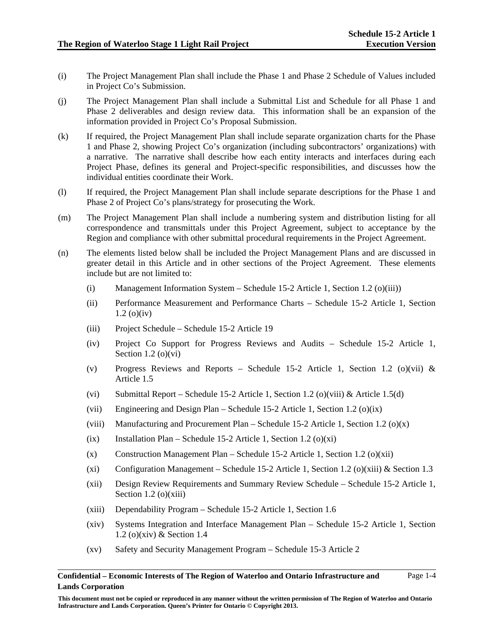- (i) The Project Management Plan shall include the Phase 1 and Phase 2 Schedule of Values included in Project Co's Submission.
- (j) The Project Management Plan shall include a Submittal List and Schedule for all Phase 1 and Phase 2 deliverables and design review data. This information shall be an expansion of the information provided in Project Co's Proposal Submission.
- (k) If required, the Project Management Plan shall include separate organization charts for the Phase 1 and Phase 2, showing Project Co's organization (including subcontractors' organizations) with a narrative. The narrative shall describe how each entity interacts and interfaces during each Project Phase, defines its general and Project-specific responsibilities, and discusses how the individual entities coordinate their Work.
- (l) If required, the Project Management Plan shall include separate descriptions for the Phase 1 and Phase 2 of Project Co's plans/strategy for prosecuting the Work.
- (m) The Project Management Plan shall include a numbering system and distribution listing for all correspondence and transmittals under this Project Agreement, subject to acceptance by the Region and compliance with other submittal procedural requirements in the Project Agreement.
- (n) The elements listed below shall be included the Project Management Plans and are discussed in greater detail in this Article and in other sections of the Project Agreement. These elements include but are not limited to:
	- (i) Management Information System Schedule 15-2 Article 1, Section 1.2 (o)(iii))
	- (ii) Performance Measurement and Performance Charts Schedule 15-2 Article 1, Section 1.2 (o)(iv)
	- (iii) Project Schedule Schedule 15-2 Article 19
	- (iv) Project Co Support for Progress Reviews and Audits Schedule 15-2 Article 1, Section  $1.2$  (o)(vi)
	- (v) Progress Reviews and Reports Schedule 15-2 Article 1, Section 1.2 (o)(vii)  $\&$ Article 1.5
	- (vi) Submittal Report Schedule 15-2 Article 1, Section 1.2 (o)(viii) & Article 1.5(d)
	- (vii) Engineering and Design Plan Schedule 15-2 Article 1, Section 1.2 (o)(ix)
	- (viii) Manufacturing and Procurement Plan Schedule 15-2 Article 1, Section 1.2 (o)(x)
	- (ix) Installation Plan Schedule 15-2 Article 1, Section 1.2 (o)(xi)
	- (x) Construction Management Plan Schedule 15-2 Article 1, Section 1.2 (o)(xii)
	- (xi) Configuration Management Schedule 15-2 Article 1, Section 1.2 (o)(xiii) & Section 1.3
	- (xii) Design Review Requirements and Summary Review Schedule Schedule 15-2 Article 1, Section 1.2 (o) $(xiii)$
	- (xiii) Dependability Program Schedule 15-2 Article 1, Section 1.6
	- (xiv) Systems Integration and Interface Management Plan Schedule 15-2 Article 1, Section 1.2 (o)(xiv) & Section 1.4
	- (xv) Safety and Security Management Program Schedule 15-3 Article 2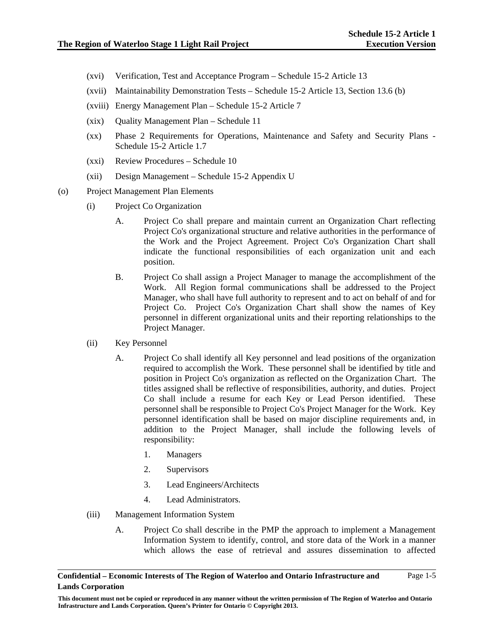- (xvi) Verification, Test and Acceptance Program Schedule 15-2 Article 13
- (xvii) Maintainability Demonstration Tests Schedule 15-2 Article 13, Section 13.6 (b)
- (xviii) Energy Management Plan Schedule 15-2 Article 7
- (xix) Quality Management Plan Schedule 11
- (xx) Phase 2 Requirements for Operations, Maintenance and Safety and Security Plans Schedule 15-2 Article 1.7
- (xxi) Review Procedures Schedule 10
- (xii) Design Management Schedule 15-2 Appendix U
- (o) Project Management Plan Elements
	- (i) Project Co Organization
		- A. Project Co shall prepare and maintain current an Organization Chart reflecting Project Co's organizational structure and relative authorities in the performance of the Work and the Project Agreement. Project Co's Organization Chart shall indicate the functional responsibilities of each organization unit and each position.
		- B. Project Co shall assign a Project Manager to manage the accomplishment of the Work. All Region formal communications shall be addressed to the Project Manager, who shall have full authority to represent and to act on behalf of and for Project Co. Project Co's Organization Chart shall show the names of Key personnel in different organizational units and their reporting relationships to the Project Manager.
	- (ii) Key Personnel
		- A. Project Co shall identify all Key personnel and lead positions of the organization required to accomplish the Work. These personnel shall be identified by title and position in Project Co's organization as reflected on the Organization Chart. The titles assigned shall be reflective of responsibilities, authority, and duties. Project Co shall include a resume for each Key or Lead Person identified. These personnel shall be responsible to Project Co's Project Manager for the Work. Key personnel identification shall be based on major discipline requirements and, in addition to the Project Manager, shall include the following levels of responsibility:
			- 1. Managers
			- 2. Supervisors
			- 3. Lead Engineers/Architects
			- 4. Lead Administrators.
	- (iii) Management Information System
		- A. Project Co shall describe in the PMP the approach to implement a Management Information System to identify, control, and store data of the Work in a manner which allows the ease of retrieval and assures dissemination to affected

**Confidential – Economic Interests of The Region of Waterloo and Ontario Infrastructure and Lands Corporation** 

**This document must not be copied or reproduced in any manner without the written permission of The Region of Waterloo and Ontario Infrastructure and Lands Corporation. Queen's Printer for Ontario © Copyright 2013.**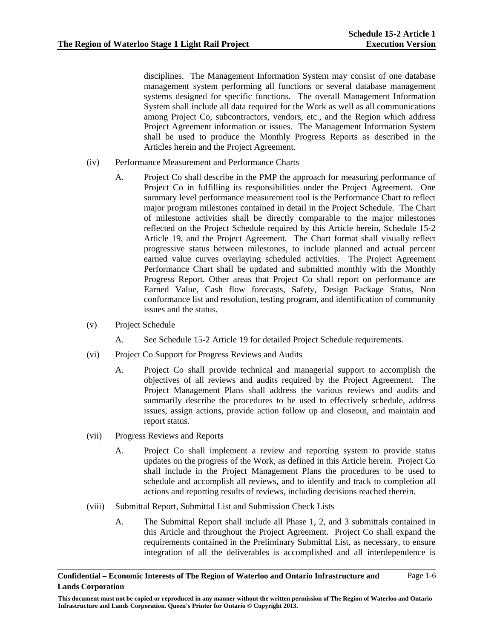Page 1-6

disciplines. The Management Information System may consist of one database management system performing all functions or several database management systems designed for specific functions. The overall Management Information System shall include all data required for the Work as well as all communications among Project Co, subcontractors, vendors, etc., and the Region which address Project Agreement information or issues. The Management Information System shall be used to produce the Monthly Progress Reports as described in the Articles herein and the Project Agreement.

- (iv) Performance Measurement and Performance Charts
	- A. Project Co shall describe in the PMP the approach for measuring performance of Project Co in fulfilling its responsibilities under the Project Agreement. One summary level performance measurement tool is the Performance Chart to reflect major program milestones contained in detail in the Project Schedule. The Chart of milestone activities shall be directly comparable to the major milestones reflected on the Project Schedule required by this Article herein, Schedule 15-2 Article 19, and the Project Agreement. The Chart format shall visually reflect progressive status between milestones, to include planned and actual percent earned value curves overlaying scheduled activities. The Project Agreement Performance Chart shall be updated and submitted monthly with the Monthly Progress Report. Other areas that Project Co shall report on performance are Earned Value, Cash flow forecasts, Safety, Design Package Status, Non conformance list and resolution, testing program, and identification of community issues and the status.
- (v) Project Schedule
	- A. See Schedule 15-2 Article 19 for detailed Project Schedule requirements.
- (vi) Project Co Support for Progress Reviews and Audits
	- A. Project Co shall provide technical and managerial support to accomplish the objectives of all reviews and audits required by the Project Agreement. The Project Management Plans shall address the various reviews and audits and summarily describe the procedures to be used to effectively schedule, address issues, assign actions, provide action follow up and closeout, and maintain and report status.
- (vii) Progress Reviews and Reports
	- A. Project Co shall implement a review and reporting system to provide status updates on the progress of the Work, as defined in this Article herein. Project Co shall include in the Project Management Plans the procedures to be used to schedule and accomplish all reviews, and to identify and track to completion all actions and reporting results of reviews, including decisions reached therein.
- (viii) Submittal Report, Submittal List and Submission Check Lists
	- A. The Submittal Report shall include all Phase 1, 2, and 3 submittals contained in this Article and throughout the Project Agreement. Project Co shall expand the requirements contained in the Preliminary Submittal List, as necessary, to ensure integration of all the deliverables is accomplished and all interdependence is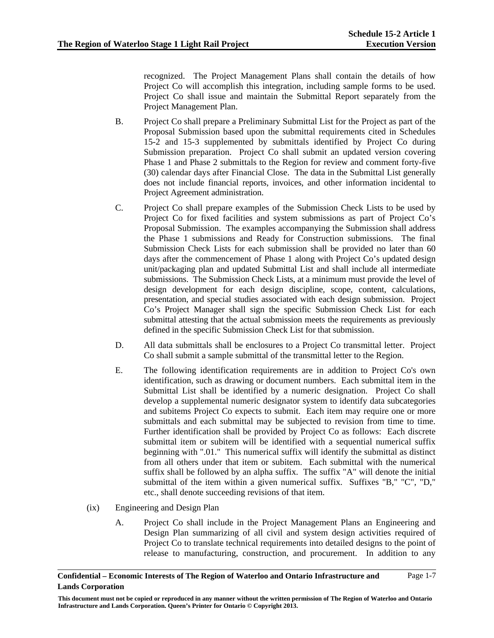recognized. The Project Management Plans shall contain the details of how Project Co will accomplish this integration, including sample forms to be used. Project Co shall issue and maintain the Submittal Report separately from the Project Management Plan.

- B. Project Co shall prepare a Preliminary Submittal List for the Project as part of the Proposal Submission based upon the submittal requirements cited in Schedules 15-2 and 15-3 supplemented by submittals identified by Project Co during Submission preparation. Project Co shall submit an updated version covering Phase 1 and Phase 2 submittals to the Region for review and comment forty-five (30) calendar days after Financial Close. The data in the Submittal List generally does not include financial reports, invoices, and other information incidental to Project Agreement administration.
- C. Project Co shall prepare examples of the Submission Check Lists to be used by Project Co for fixed facilities and system submissions as part of Project Co's Proposal Submission. The examples accompanying the Submission shall address the Phase 1 submissions and Ready for Construction submissions. The final Submission Check Lists for each submission shall be provided no later than 60 days after the commencement of Phase 1 along with Project Co's updated design unit/packaging plan and updated Submittal List and shall include all intermediate submissions. The Submission Check Lists, at a minimum must provide the level of design development for each design discipline, scope, content, calculations, presentation, and special studies associated with each design submission. Project Co's Project Manager shall sign the specific Submission Check List for each submittal attesting that the actual submission meets the requirements as previously defined in the specific Submission Check List for that submission.
- D. All data submittals shall be enclosures to a Project Co transmittal letter. Project Co shall submit a sample submittal of the transmittal letter to the Region.
- E. The following identification requirements are in addition to Project Co's own identification, such as drawing or document numbers. Each submittal item in the Submittal List shall be identified by a numeric designation. Project Co shall develop a supplemental numeric designator system to identify data subcategories and subitems Project Co expects to submit. Each item may require one or more submittals and each submittal may be subjected to revision from time to time. Further identification shall be provided by Project Co as follows: Each discrete submittal item or subitem will be identified with a sequential numerical suffix beginning with ".01." This numerical suffix will identify the submittal as distinct from all others under that item or subitem. Each submittal with the numerical suffix shall be followed by an alpha suffix. The suffix "A" will denote the initial submittal of the item within a given numerical suffix. Suffixes "B," "C", "D," etc., shall denote succeeding revisions of that item.
- (ix) Engineering and Design Plan
	- A. Project Co shall include in the Project Management Plans an Engineering and Design Plan summarizing of all civil and system design activities required of Project Co to translate technical requirements into detailed designs to the point of release to manufacturing, construction, and procurement. In addition to any

**This document must not be copied or reproduced in any manner without the written permission of The Region of Waterloo and Ontario Infrastructure and Lands Corporation. Queen's Printer for Ontario © Copyright 2013.**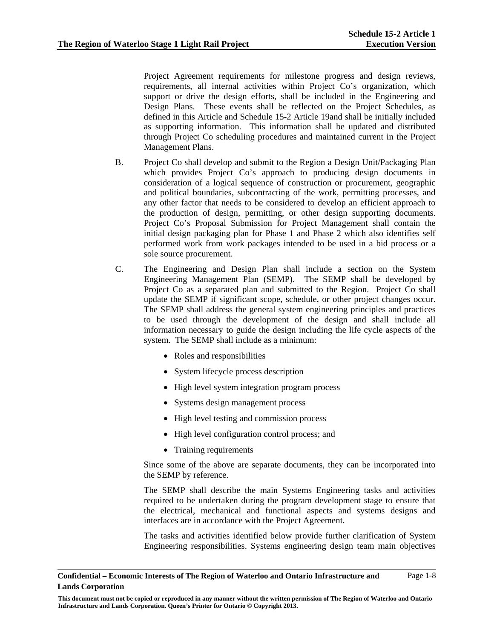Project Agreement requirements for milestone progress and design reviews, requirements, all internal activities within Project Co's organization, which support or drive the design efforts, shall be included in the Engineering and Design Plans. These events shall be reflected on the Project Schedules, as defined in this Article and Schedule 15-2 Article 19and shall be initially included as supporting information. This information shall be updated and distributed through Project Co scheduling procedures and maintained current in the Project Management Plans.

- B. Project Co shall develop and submit to the Region a Design Unit/Packaging Plan which provides Project Co's approach to producing design documents in consideration of a logical sequence of construction or procurement, geographic and political boundaries, subcontracting of the work, permitting processes, and any other factor that needs to be considered to develop an efficient approach to the production of design, permitting, or other design supporting documents. Project Co's Proposal Submission for Project Management shall contain the initial design packaging plan for Phase 1 and Phase 2 which also identifies self performed work from work packages intended to be used in a bid process or a sole source procurement.
- C. The Engineering and Design Plan shall include a section on the System Engineering Management Plan (SEMP). The SEMP shall be developed by Project Co as a separated plan and submitted to the Region. Project Co shall update the SEMP if significant scope, schedule, or other project changes occur. The SEMP shall address the general system engineering principles and practices to be used through the development of the design and shall include all information necessary to guide the design including the life cycle aspects of the system. The SEMP shall include as a minimum:
	- Roles and responsibilities
	- System lifecycle process description
	- High level system integration program process
	- Systems design management process
	- High level testing and commission process
	- High level configuration control process; and
	- Training requirements

Since some of the above are separate documents, they can be incorporated into the SEMP by reference.

The SEMP shall describe the main Systems Engineering tasks and activities required to be undertaken during the program development stage to ensure that the electrical, mechanical and functional aspects and systems designs and interfaces are in accordance with the Project Agreement.

The tasks and activities identified below provide further clarification of System Engineering responsibilities. Systems engineering design team main objectives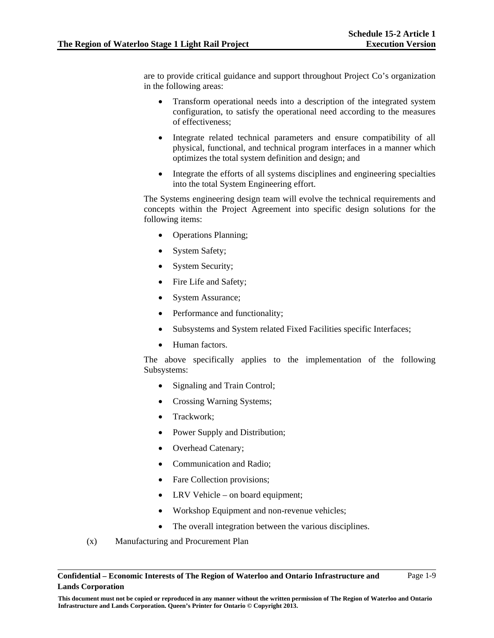are to provide critical guidance and support throughout Project Co's organization in the following areas:

- Transform operational needs into a description of the integrated system configuration, to satisfy the operational need according to the measures of effectiveness;
- Integrate related technical parameters and ensure compatibility of all physical, functional, and technical program interfaces in a manner which optimizes the total system definition and design; and
- Integrate the efforts of all systems disciplines and engineering specialties into the total System Engineering effort.

The Systems engineering design team will evolve the technical requirements and concepts within the Project Agreement into specific design solutions for the following items:

- Operations Planning;
- System Safety;
- System Security;
- Fire Life and Safety;
- System Assurance;
- Performance and functionality;
- Subsystems and System related Fixed Facilities specific Interfaces;
- Human factors.

The above specifically applies to the implementation of the following Subsystems:

- Signaling and Train Control;
- Crossing Warning Systems;
- Trackwork;
- Power Supply and Distribution;
- Overhead Catenary;
- Communication and Radio;
- Fare Collection provisions;
- LRV Vehicle on board equipment;
- Workshop Equipment and non-revenue vehicles;
- The overall integration between the various disciplines.
- (x) Manufacturing and Procurement Plan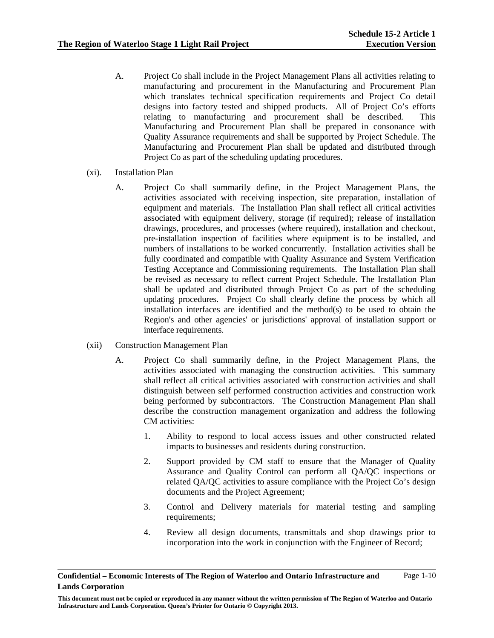- A. Project Co shall include in the Project Management Plans all activities relating to manufacturing and procurement in the Manufacturing and Procurement Plan which translates technical specification requirements and Project Co detail designs into factory tested and shipped products. All of Project Co's efforts relating to manufacturing and procurement shall be described. This Manufacturing and Procurement Plan shall be prepared in consonance with Quality Assurance requirements and shall be supported by Project Schedule. The Manufacturing and Procurement Plan shall be updated and distributed through Project Co as part of the scheduling updating procedures.
- (xi). Installation Plan
	- A. Project Co shall summarily define, in the Project Management Plans, the activities associated with receiving inspection, site preparation, installation of equipment and materials. The Installation Plan shall reflect all critical activities associated with equipment delivery, storage (if required); release of installation drawings, procedures, and processes (where required), installation and checkout, pre-installation inspection of facilities where equipment is to be installed, and numbers of installations to be worked concurrently. Installation activities shall be fully coordinated and compatible with Quality Assurance and System Verification Testing Acceptance and Commissioning requirements. The Installation Plan shall be revised as necessary to reflect current Project Schedule. The Installation Plan shall be updated and distributed through Project Co as part of the scheduling updating procedures. Project Co shall clearly define the process by which all installation interfaces are identified and the method(s) to be used to obtain the Region's and other agencies' or jurisdictions' approval of installation support or interface requirements.
- (xii) Construction Management Plan
	- A. Project Co shall summarily define, in the Project Management Plans, the activities associated with managing the construction activities. This summary shall reflect all critical activities associated with construction activities and shall distinguish between self performed construction activities and construction work being performed by subcontractors. The Construction Management Plan shall describe the construction management organization and address the following CM activities:
		- 1. Ability to respond to local access issues and other constructed related impacts to businesses and residents during construction.
		- 2. Support provided by CM staff to ensure that the Manager of Quality Assurance and Quality Control can perform all QA/QC inspections or related QA/QC activities to assure compliance with the Project Co's design documents and the Project Agreement;
		- 3. Control and Delivery materials for material testing and sampling requirements;
		- 4. Review all design documents, transmittals and shop drawings prior to incorporation into the work in conjunction with the Engineer of Record;

**Confidential – Economic Interests of The Region of Waterloo and Ontario Infrastructure and Lands Corporation**  Page 1-10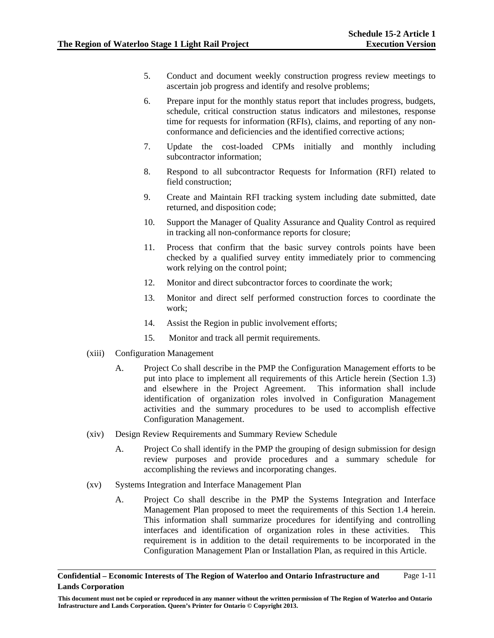- 5. Conduct and document weekly construction progress review meetings to ascertain job progress and identify and resolve problems;
- 6. Prepare input for the monthly status report that includes progress, budgets, schedule, critical construction status indicators and milestones, response time for requests for information (RFIs), claims, and reporting of any nonconformance and deficiencies and the identified corrective actions;
- 7. Update the cost-loaded CPMs initially and monthly including subcontractor information;
- 8. Respond to all subcontractor Requests for Information (RFI) related to field construction;
- 9. Create and Maintain RFI tracking system including date submitted, date returned, and disposition code;
- 10. Support the Manager of Quality Assurance and Quality Control as required in tracking all non-conformance reports for closure;
- 11. Process that confirm that the basic survey controls points have been checked by a qualified survey entity immediately prior to commencing work relying on the control point;
- 12. Monitor and direct subcontractor forces to coordinate the work;
- 13. Monitor and direct self performed construction forces to coordinate the work;
- 14. Assist the Region in public involvement efforts;
- 15. Monitor and track all permit requirements.
- (xiii) Configuration Management
	- A. Project Co shall describe in the PMP the Configuration Management efforts to be put into place to implement all requirements of this Article herein (Section 1.3) and elsewhere in the Project Agreement. This information shall include identification of organization roles involved in Configuration Management activities and the summary procedures to be used to accomplish effective Configuration Management.
- (xiv) Design Review Requirements and Summary Review Schedule
	- A. Project Co shall identify in the PMP the grouping of design submission for design review purposes and provide procedures and a summary schedule for accomplishing the reviews and incorporating changes.
- (xv) Systems Integration and Interface Management Plan
	- A. Project Co shall describe in the PMP the Systems Integration and Interface Management Plan proposed to meet the requirements of this Section 1.4 herein. This information shall summarize procedures for identifying and controlling interfaces and identification of organization roles in these activities. This requirement is in addition to the detail requirements to be incorporated in the Configuration Management Plan or Installation Plan, as required in this Article.

**Confidential – Economic Interests of The Region of Waterloo and Ontario Infrastructure and Lands Corporation**  Page 1-11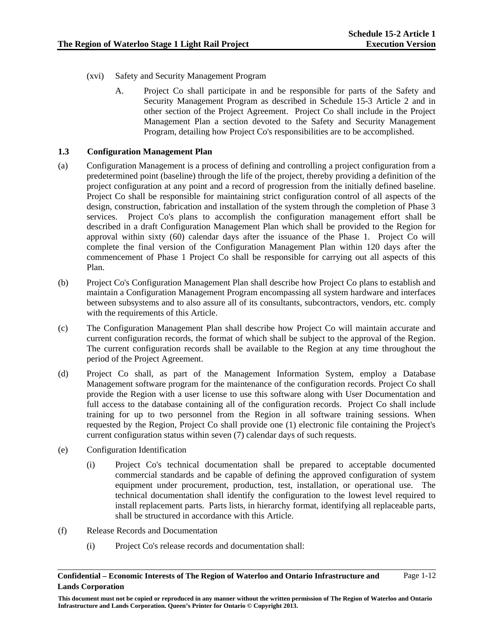- (xvi) Safety and Security Management Program
	- A. Project Co shall participate in and be responsible for parts of the Safety and Security Management Program as described in Schedule 15-3 Article 2 and in other section of the Project Agreement. Project Co shall include in the Project Management Plan a section devoted to the Safety and Security Management Program, detailing how Project Co's responsibilities are to be accomplished.

# **1.3 Configuration Management Plan**

- (a) Configuration Management is a process of defining and controlling a project configuration from a predetermined point (baseline) through the life of the project, thereby providing a definition of the project configuration at any point and a record of progression from the initially defined baseline. Project Co shall be responsible for maintaining strict configuration control of all aspects of the design, construction, fabrication and installation of the system through the completion of Phase 3 services. Project Co's plans to accomplish the configuration management effort shall be described in a draft Configuration Management Plan which shall be provided to the Region for approval within sixty (60) calendar days after the issuance of the Phase 1. Project Co will complete the final version of the Configuration Management Plan within 120 days after the commencement of Phase 1 Project Co shall be responsible for carrying out all aspects of this Plan.
- (b) Project Co's Configuration Management Plan shall describe how Project Co plans to establish and maintain a Configuration Management Program encompassing all system hardware and interfaces between subsystems and to also assure all of its consultants, subcontractors, vendors, etc. comply with the requirements of this Article.
- (c) The Configuration Management Plan shall describe how Project Co will maintain accurate and current configuration records, the format of which shall be subject to the approval of the Region. The current configuration records shall be available to the Region at any time throughout the period of the Project Agreement.
- (d) Project Co shall, as part of the Management Information System, employ a Database Management software program for the maintenance of the configuration records. Project Co shall provide the Region with a user license to use this software along with User Documentation and full access to the database containing all of the configuration records. Project Co shall include training for up to two personnel from the Region in all software training sessions. When requested by the Region, Project Co shall provide one (1) electronic file containing the Project's current configuration status within seven (7) calendar days of such requests.
- (e) Configuration Identification
	- (i) Project Co's technical documentation shall be prepared to acceptable documented commercial standards and be capable of defining the approved configuration of system equipment under procurement, production, test, installation, or operational use. The technical documentation shall identify the configuration to the lowest level required to install replacement parts. Parts lists, in hierarchy format, identifying all replaceable parts, shall be structured in accordance with this Article.
- (f) Release Records and Documentation
	- (i) Project Co's release records and documentation shall:

**This document must not be copied or reproduced in any manner without the written permission of The Region of Waterloo and Ontario Infrastructure and Lands Corporation. Queen's Printer for Ontario © Copyright 2013.**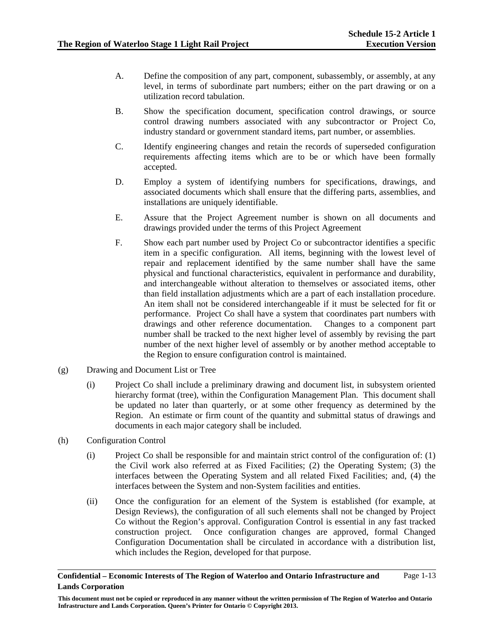- A. Define the composition of any part, component, subassembly, or assembly, at any level, in terms of subordinate part numbers; either on the part drawing or on a utilization record tabulation.
- B. Show the specification document, specification control drawings, or source control drawing numbers associated with any subcontractor or Project Co, industry standard or government standard items, part number, or assemblies.
- C. Identify engineering changes and retain the records of superseded configuration requirements affecting items which are to be or which have been formally accepted.
- D. Employ a system of identifying numbers for specifications, drawings, and associated documents which shall ensure that the differing parts, assemblies, and installations are uniquely identifiable.
- E. Assure that the Project Agreement number is shown on all documents and drawings provided under the terms of this Project Agreement
- F. Show each part number used by Project Co or subcontractor identifies a specific item in a specific configuration. All items, beginning with the lowest level of repair and replacement identified by the same number shall have the same physical and functional characteristics, equivalent in performance and durability, and interchangeable without alteration to themselves or associated items, other than field installation adjustments which are a part of each installation procedure. An item shall not be considered interchangeable if it must be selected for fit or performance. Project Co shall have a system that coordinates part numbers with drawings and other reference documentation. Changes to a component part number shall be tracked to the next higher level of assembly by revising the part number of the next higher level of assembly or by another method acceptable to the Region to ensure configuration control is maintained.
- (g) Drawing and Document List or Tree
	- (i) Project Co shall include a preliminary drawing and document list, in subsystem oriented hierarchy format (tree), within the Configuration Management Plan. This document shall be updated no later than quarterly, or at some other frequency as determined by the Region. An estimate or firm count of the quantity and submittal status of drawings and documents in each major category shall be included.
- (h) Configuration Control
	- (i) Project Co shall be responsible for and maintain strict control of the configuration of: (1) the Civil work also referred at as Fixed Facilities; (2) the Operating System; (3) the interfaces between the Operating System and all related Fixed Facilities; and, (4) the interfaces between the System and non-System facilities and entities.
	- (ii) Once the configuration for an element of the System is established (for example, at Design Reviews), the configuration of all such elements shall not be changed by Project Co without the Region's approval. Configuration Control is essential in any fast tracked construction project. Once configuration changes are approved, formal Changed Configuration Documentation shall be circulated in accordance with a distribution list, which includes the Region, developed for that purpose.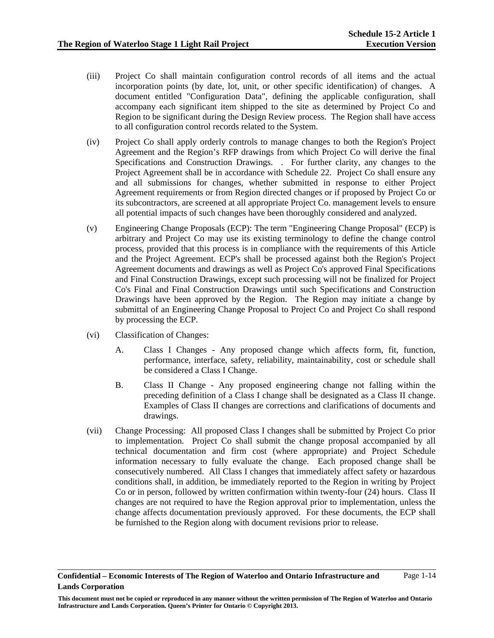- (iii) Project Co shall maintain configuration control records of all items and the actual incorporation points (by date, lot, unit, or other specific identification) of changes. A document entitled "Configuration Data", defining the applicable configuration, shall accompany each significant item shipped to the site as determined by Project Co and Region to be significant during the Design Review process. The Region shall have access to all configuration control records related to the System.
- (iv) Project Co shall apply orderly controls to manage changes to both the Region's Project Agreement and the Region's RFP drawings from which Project Co will derive the final Specifications and Construction Drawings. . For further clarity, any changes to the Project Agreement shall be in accordance with Schedule 22. Project Co shall ensure any and all submissions for changes, whether submitted in response to either Project Agreement requirements or from Region directed changes or if proposed by Project Co or its subcontractors, are screened at all appropriate Project Co. management levels to ensure all potential impacts of such changes have been thoroughly considered and analyzed.
- (v) Engineering Change Proposals (ECP): The term "Engineering Change Proposal" (ECP) is arbitrary and Project Co may use its existing terminology to define the change control process, provided that this process is in compliance with the requirements of this Article and the Project Agreement. ECP's shall be processed against both the Region's Project Agreement documents and drawings as well as Project Co's approved Final Specifications and Final Construction Drawings, except such processing will not be finalized for Project Co's Final and Final Construction Drawings until such Specifications and Construction Drawings have been approved by the Region. The Region may initiate a change by submittal of an Engineering Change Proposal to Project Co and Project Co shall respond by processing the ECP.
- (vi) Classification of Changes:
	- A. Class I Changes Any proposed change which affects form, fit, function, performance, interface, safety, reliability, maintainability, cost or schedule shall be considered a Class I Change.
	- B. Class II Change Any proposed engineering change not falling within the preceding definition of a Class I change shall be designated as a Class II change. Examples of Class II changes are corrections and clarifications of documents and drawings.
- (vii) Change Processing: All proposed Class I changes shall be submitted by Project Co prior to implementation. Project Co shall submit the change proposal accompanied by all technical documentation and firm cost (where appropriate) and Project Schedule information necessary to fully evaluate the change. Each proposed change shall be consecutively numbered. All Class I changes that immediately affect safety or hazardous conditions shall, in addition, be immediately reported to the Region in writing by Project Co or in person, followed by written confirmation within twenty-four (24) hours. Class II changes are not required to have the Region approval prior to implementation, unless the change affects documentation previously approved. For these documents, the ECP shall be furnished to the Region along with document revisions prior to release.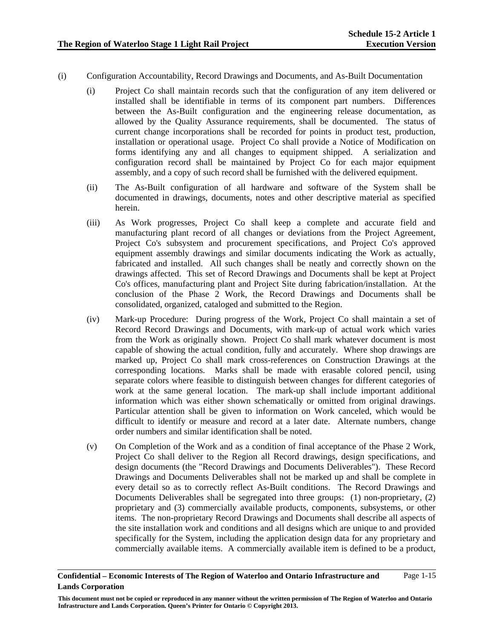- (i) Configuration Accountability, Record Drawings and Documents, and As-Built Documentation
	- (i) Project Co shall maintain records such that the configuration of any item delivered or installed shall be identifiable in terms of its component part numbers. Differences between the As-Built configuration and the engineering release documentation, as allowed by the Quality Assurance requirements, shall be documented. The status of current change incorporations shall be recorded for points in product test, production, installation or operational usage. Project Co shall provide a Notice of Modification on forms identifying any and all changes to equipment shipped. A serialization and configuration record shall be maintained by Project Co for each major equipment assembly, and a copy of such record shall be furnished with the delivered equipment.
	- (ii) The As-Built configuration of all hardware and software of the System shall be documented in drawings, documents, notes and other descriptive material as specified herein.
	- (iii) As Work progresses, Project Co shall keep a complete and accurate field and manufacturing plant record of all changes or deviations from the Project Agreement, Project Co's subsystem and procurement specifications, and Project Co's approved equipment assembly drawings and similar documents indicating the Work as actually, fabricated and installed. All such changes shall be neatly and correctly shown on the drawings affected. This set of Record Drawings and Documents shall be kept at Project Co's offices, manufacturing plant and Project Site during fabrication/installation. At the conclusion of the Phase 2 Work, the Record Drawings and Documents shall be consolidated, organized, cataloged and submitted to the Region.
	- (iv) Mark-up Procedure: During progress of the Work, Project Co shall maintain a set of Record Record Drawings and Documents, with mark-up of actual work which varies from the Work as originally shown. Project Co shall mark whatever document is most capable of showing the actual condition, fully and accurately. Where shop drawings are marked up, Project Co shall mark cross-references on Construction Drawings at the corresponding locations. Marks shall be made with erasable colored pencil, using separate colors where feasible to distinguish between changes for different categories of work at the same general location. The mark-up shall include important additional information which was either shown schematically or omitted from original drawings. Particular attention shall be given to information on Work canceled, which would be difficult to identify or measure and record at a later date. Alternate numbers, change order numbers and similar identification shall be noted.
	- (v) On Completion of the Work and as a condition of final acceptance of the Phase 2 Work, Project Co shall deliver to the Region all Record drawings, design specifications, and design documents (the "Record Drawings and Documents Deliverables"). These Record Drawings and Documents Deliverables shall not be marked up and shall be complete in every detail so as to correctly reflect As-Built conditions. The Record Drawings and Documents Deliverables shall be segregated into three groups: (1) non-proprietary, (2) proprietary and (3) commercially available products, components, subsystems, or other items. The non-proprietary Record Drawings and Documents shall describe all aspects of the site installation work and conditions and all designs which are unique to and provided specifically for the System, including the application design data for any proprietary and commercially available items. A commercially available item is defined to be a product,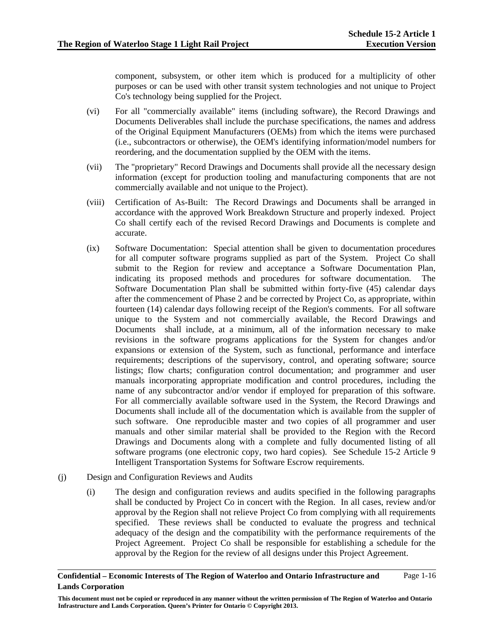component, subsystem, or other item which is produced for a multiplicity of other purposes or can be used with other transit system technologies and not unique to Project Co's technology being supplied for the Project.

- (vi) For all "commercially available" items (including software), the Record Drawings and Documents Deliverables shall include the purchase specifications, the names and address of the Original Equipment Manufacturers (OEMs) from which the items were purchased (i.e., subcontractors or otherwise), the OEM's identifying information/model numbers for reordering, and the documentation supplied by the OEM with the items.
- (vii) The "proprietary" Record Drawings and Documents shall provide all the necessary design information (except for production tooling and manufacturing components that are not commercially available and not unique to the Project).
- (viii) Certification of As-Built: The Record Drawings and Documents shall be arranged in accordance with the approved Work Breakdown Structure and properly indexed. Project Co shall certify each of the revised Record Drawings and Documents is complete and accurate.
- (ix) Software Documentation: Special attention shall be given to documentation procedures for all computer software programs supplied as part of the System. Project Co shall submit to the Region for review and acceptance a Software Documentation Plan, indicating its proposed methods and procedures for software documentation. The Software Documentation Plan shall be submitted within forty-five (45) calendar days after the commencement of Phase 2 and be corrected by Project Co, as appropriate, within fourteen (14) calendar days following receipt of the Region's comments. For all software unique to the System and not commercially available, the Record Drawings and Documents shall include, at a minimum, all of the information necessary to make revisions in the software programs applications for the System for changes and/or expansions or extension of the System, such as functional, performance and interface requirements; descriptions of the supervisory, control, and operating software; source listings; flow charts; configuration control documentation; and programmer and user manuals incorporating appropriate modification and control procedures, including the name of any subcontractor and/or vendor if employed for preparation of this software. For all commercially available software used in the System, the Record Drawings and Documents shall include all of the documentation which is available from the suppler of such software. One reproducible master and two copies of all programmer and user manuals and other similar material shall be provided to the Region with the Record Drawings and Documents along with a complete and fully documented listing of all software programs (one electronic copy, two hard copies). See Schedule 15-2 Article 9 Intelligent Transportation Systems for Software Escrow requirements.
- (j) Design and Configuration Reviews and Audits
	- (i) The design and configuration reviews and audits specified in the following paragraphs shall be conducted by Project Co in concert with the Region. In all cases, review and/or approval by the Region shall not relieve Project Co from complying with all requirements specified. These reviews shall be conducted to evaluate the progress and technical adequacy of the design and the compatibility with the performance requirements of the Project Agreement. Project Co shall be responsible for establishing a schedule for the approval by the Region for the review of all designs under this Project Agreement.

**This document must not be copied or reproduced in any manner without the written permission of The Region of Waterloo and Ontario Infrastructure and Lands Corporation. Queen's Printer for Ontario © Copyright 2013.**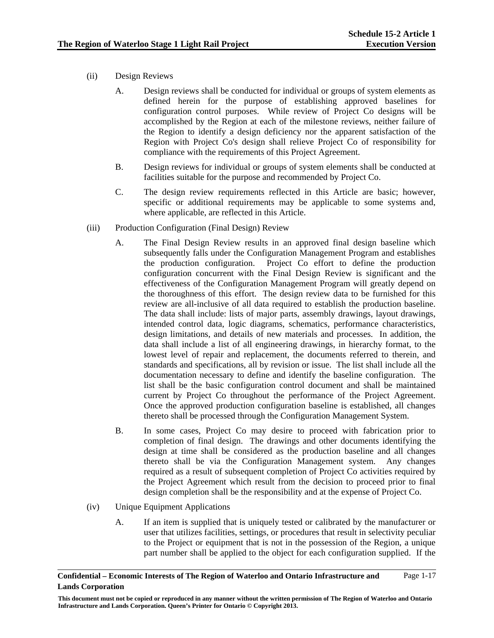- (ii) Design Reviews
	- A. Design reviews shall be conducted for individual or groups of system elements as defined herein for the purpose of establishing approved baselines for configuration control purposes. While review of Project Co designs will be accomplished by the Region at each of the milestone reviews, neither failure of the Region to identify a design deficiency nor the apparent satisfaction of the Region with Project Co's design shall relieve Project Co of responsibility for compliance with the requirements of this Project Agreement.
	- B. Design reviews for individual or groups of system elements shall be conducted at facilities suitable for the purpose and recommended by Project Co.
	- C. The design review requirements reflected in this Article are basic; however, specific or additional requirements may be applicable to some systems and, where applicable, are reflected in this Article.
- (iii) Production Configuration (Final Design) Review
	- A. The Final Design Review results in an approved final design baseline which subsequently falls under the Configuration Management Program and establishes the production configuration. Project Co effort to define the production configuration concurrent with the Final Design Review is significant and the effectiveness of the Configuration Management Program will greatly depend on the thoroughness of this effort. The design review data to be furnished for this review are all-inclusive of all data required to establish the production baseline. The data shall include: lists of major parts, assembly drawings, layout drawings, intended control data, logic diagrams, schematics, performance characteristics, design limitations, and details of new materials and processes. In addition, the data shall include a list of all engineering drawings, in hierarchy format, to the lowest level of repair and replacement, the documents referred to therein, and standards and specifications, all by revision or issue. The list shall include all the documentation necessary to define and identify the baseline configuration. The list shall be the basic configuration control document and shall be maintained current by Project Co throughout the performance of the Project Agreement. Once the approved production configuration baseline is established, all changes thereto shall be processed through the Configuration Management System.
	- B. In some cases, Project Co may desire to proceed with fabrication prior to completion of final design. The drawings and other documents identifying the design at time shall be considered as the production baseline and all changes thereto shall be via the Configuration Management system. Any changes required as a result of subsequent completion of Project Co activities required by the Project Agreement which result from the decision to proceed prior to final design completion shall be the responsibility and at the expense of Project Co.
- (iv) Unique Equipment Applications
	- A. If an item is supplied that is uniquely tested or calibrated by the manufacturer or user that utilizes facilities, settings, or procedures that result in selectivity peculiar to the Project or equipment that is not in the possession of the Region, a unique part number shall be applied to the object for each configuration supplied. If the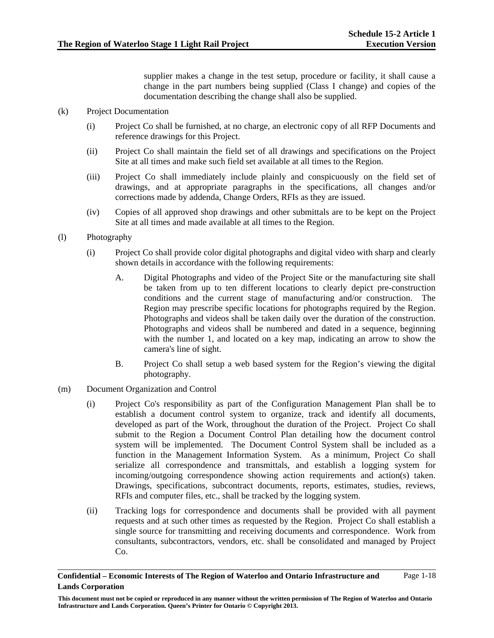supplier makes a change in the test setup, procedure or facility, it shall cause a change in the part numbers being supplied (Class I change) and copies of the documentation describing the change shall also be supplied.

## (k) Project Documentation

- (i) Project Co shall be furnished, at no charge, an electronic copy of all RFP Documents and reference drawings for this Project.
- (ii) Project Co shall maintain the field set of all drawings and specifications on the Project Site at all times and make such field set available at all times to the Region.
- (iii) Project Co shall immediately include plainly and conspicuously on the field set of drawings, and at appropriate paragraphs in the specifications, all changes and/or corrections made by addenda, Change Orders, RFIs as they are issued.
- (iv) Copies of all approved shop drawings and other submittals are to be kept on the Project Site at all times and made available at all times to the Region.
- (l) Photography
	- (i) Project Co shall provide color digital photographs and digital video with sharp and clearly shown details in accordance with the following requirements:
		- A. Digital Photographs and video of the Project Site or the manufacturing site shall be taken from up to ten different locations to clearly depict pre-construction conditions and the current stage of manufacturing and/or construction. The Region may prescribe specific locations for photographs required by the Region. Photographs and videos shall be taken daily over the duration of the construction. Photographs and videos shall be numbered and dated in a sequence, beginning with the number 1, and located on a key map, indicating an arrow to show the camera's line of sight.
		- B. Project Co shall setup a web based system for the Region's viewing the digital photography.
- (m) Document Organization and Control
	- (i) Project Co's responsibility as part of the Configuration Management Plan shall be to establish a document control system to organize, track and identify all documents, developed as part of the Work, throughout the duration of the Project. Project Co shall submit to the Region a Document Control Plan detailing how the document control system will be implemented. The Document Control System shall be included as a function in the Management Information System. As a minimum, Project Co shall serialize all correspondence and transmittals, and establish a logging system for incoming/outgoing correspondence showing action requirements and action(s) taken. Drawings, specifications, subcontract documents, reports, estimates, studies, reviews, RFIs and computer files, etc., shall be tracked by the logging system.
	- (ii) Tracking logs for correspondence and documents shall be provided with all payment requests and at such other times as requested by the Region. Project Co shall establish a single source for transmitting and receiving documents and correspondence. Work from consultants, subcontractors, vendors, etc. shall be consolidated and managed by Project Co.

**This document must not be copied or reproduced in any manner without the written permission of The Region of Waterloo and Ontario Infrastructure and Lands Corporation. Queen's Printer for Ontario © Copyright 2013.**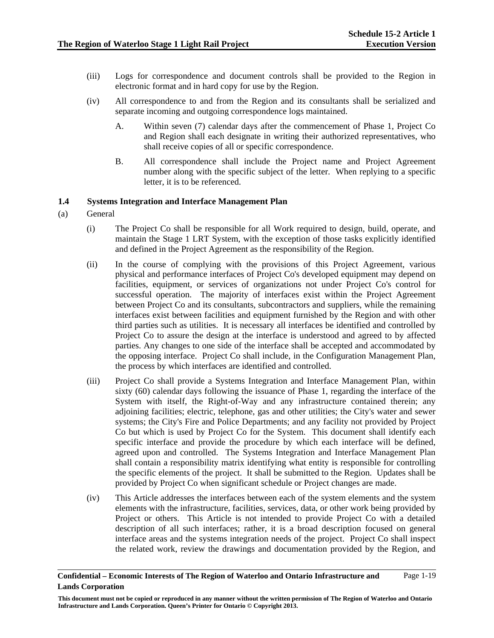- (iii) Logs for correspondence and document controls shall be provided to the Region in electronic format and in hard copy for use by the Region.
- (iv) All correspondence to and from the Region and its consultants shall be serialized and separate incoming and outgoing correspondence logs maintained.
	- A. Within seven (7) calendar days after the commencement of Phase 1, Project Co and Region shall each designate in writing their authorized representatives, who shall receive copies of all or specific correspondence.
	- B. All correspondence shall include the Project name and Project Agreement number along with the specific subject of the letter. When replying to a specific letter, it is to be referenced.

## **1.4 Systems Integration and Interface Management Plan**

- (a) General
	- (i) The Project Co shall be responsible for all Work required to design, build, operate, and maintain the Stage 1 LRT System, with the exception of those tasks explicitly identified and defined in the Project Agreement as the responsibility of the Region.
	- (ii) In the course of complying with the provisions of this Project Agreement, various physical and performance interfaces of Project Co's developed equipment may depend on facilities, equipment, or services of organizations not under Project Co's control for successful operation. The majority of interfaces exist within the Project Agreement between Project Co and its consultants, subcontractors and suppliers, while the remaining interfaces exist between facilities and equipment furnished by the Region and with other third parties such as utilities. It is necessary all interfaces be identified and controlled by Project Co to assure the design at the interface is understood and agreed to by affected parties. Any changes to one side of the interface shall be accepted and accommodated by the opposing interface. Project Co shall include, in the Configuration Management Plan, the process by which interfaces are identified and controlled.
	- (iii) Project Co shall provide a Systems Integration and Interface Management Plan, within sixty (60) calendar days following the issuance of Phase 1, regarding the interface of the System with itself, the Right-of-Way and any infrastructure contained therein; any adjoining facilities; electric, telephone, gas and other utilities; the City's water and sewer systems; the City's Fire and Police Departments; and any facility not provided by Project Co but which is used by Project Co for the System. This document shall identify each specific interface and provide the procedure by which each interface will be defined, agreed upon and controlled. The Systems Integration and Interface Management Plan shall contain a responsibility matrix identifying what entity is responsible for controlling the specific elements of the project. It shall be submitted to the Region. Updates shall be provided by Project Co when significant schedule or Project changes are made.
	- (iv) This Article addresses the interfaces between each of the system elements and the system elements with the infrastructure, facilities, services, data, or other work being provided by Project or others. This Article is not intended to provide Project Co with a detailed description of all such interfaces; rather, it is a broad description focused on general interface areas and the systems integration needs of the project. Project Co shall inspect the related work, review the drawings and documentation provided by the Region, and

**This document must not be copied or reproduced in any manner without the written permission of The Region of Waterloo and Ontario Infrastructure and Lands Corporation. Queen's Printer for Ontario © Copyright 2013.**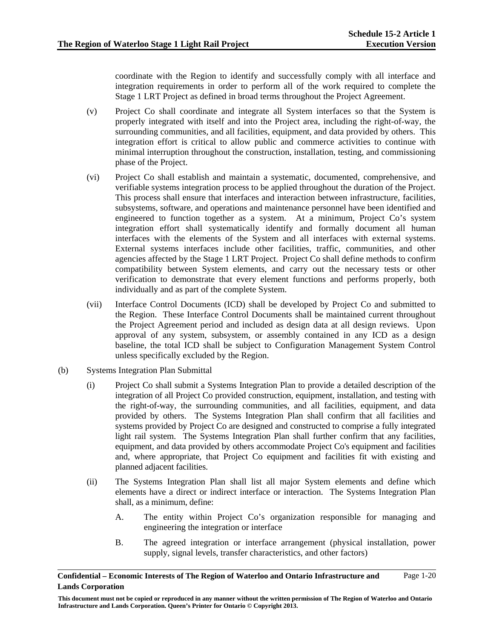coordinate with the Region to identify and successfully comply with all interface and integration requirements in order to perform all of the work required to complete the Stage 1 LRT Project as defined in broad terms throughout the Project Agreement.

- (v) Project Co shall coordinate and integrate all System interfaces so that the System is properly integrated with itself and into the Project area, including the right-of-way, the surrounding communities, and all facilities, equipment, and data provided by others. This integration effort is critical to allow public and commerce activities to continue with minimal interruption throughout the construction, installation, testing, and commissioning phase of the Project.
- (vi) Project Co shall establish and maintain a systematic, documented, comprehensive, and verifiable systems integration process to be applied throughout the duration of the Project. This process shall ensure that interfaces and interaction between infrastructure, facilities, subsystems, software, and operations and maintenance personnel have been identified and engineered to function together as a system. At a minimum, Project Co's system integration effort shall systematically identify and formally document all human interfaces with the elements of the System and all interfaces with external systems. External systems interfaces include other facilities, traffic, communities, and other agencies affected by the Stage 1 LRT Project. Project Co shall define methods to confirm compatibility between System elements, and carry out the necessary tests or other verification to demonstrate that every element functions and performs properly, both individually and as part of the complete System.
- (vii) Interface Control Documents (ICD) shall be developed by Project Co and submitted to the Region. These Interface Control Documents shall be maintained current throughout the Project Agreement period and included as design data at all design reviews. Upon approval of any system, subsystem, or assembly contained in any ICD as a design baseline, the total ICD shall be subject to Configuration Management System Control unless specifically excluded by the Region.
- (b) Systems Integration Plan Submittal
	- (i) Project Co shall submit a Systems Integration Plan to provide a detailed description of the integration of all Project Co provided construction, equipment, installation, and testing with the right-of-way, the surrounding communities, and all facilities, equipment, and data provided by others. The Systems Integration Plan shall confirm that all facilities and systems provided by Project Co are designed and constructed to comprise a fully integrated light rail system. The Systems Integration Plan shall further confirm that any facilities, equipment, and data provided by others accommodate Project Co's equipment and facilities and, where appropriate, that Project Co equipment and facilities fit with existing and planned adjacent facilities.
	- (ii) The Systems Integration Plan shall list all major System elements and define which elements have a direct or indirect interface or interaction. The Systems Integration Plan shall, as a minimum, define:
		- A. The entity within Project Co's organization responsible for managing and engineering the integration or interface
		- B. The agreed integration or interface arrangement (physical installation, power supply, signal levels, transfer characteristics, and other factors)

**Confidential – Economic Interests of The Region of Waterloo and Ontario Infrastructure and Lands Corporation**  Page 1-20

**This document must not be copied or reproduced in any manner without the written permission of The Region of Waterloo and Ontario Infrastructure and Lands Corporation. Queen's Printer for Ontario © Copyright 2013.**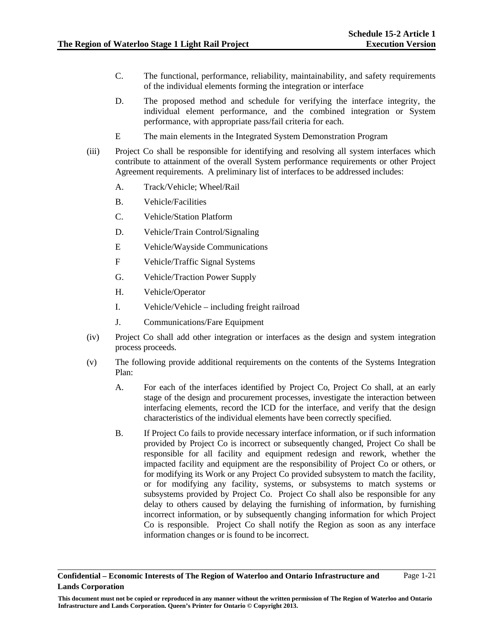- C. The functional, performance, reliability, maintainability, and safety requirements of the individual elements forming the integration or interface
- D. The proposed method and schedule for verifying the interface integrity, the individual element performance, and the combined integration or System performance, with appropriate pass/fail criteria for each.
- E The main elements in the Integrated System Demonstration Program
- (iii) Project Co shall be responsible for identifying and resolving all system interfaces which contribute to attainment of the overall System performance requirements or other Project Agreement requirements. A preliminary list of interfaces to be addressed includes:
	- A. Track/Vehicle; Wheel/Rail
	- B. Vehicle/Facilities
	- C. Vehicle/Station Platform
	- D. Vehicle/Train Control/Signaling
	- E Vehicle/Wayside Communications
	- F Vehicle/Traffic Signal Systems
	- G. Vehicle/Traction Power Supply
	- H. Vehicle/Operator
	- I. Vehicle/Vehicle including freight railroad
	- J. Communications/Fare Equipment
- (iv) Project Co shall add other integration or interfaces as the design and system integration process proceeds.
- (v) The following provide additional requirements on the contents of the Systems Integration Plan:
	- A. For each of the interfaces identified by Project Co, Project Co shall, at an early stage of the design and procurement processes, investigate the interaction between interfacing elements, record the ICD for the interface, and verify that the design characteristics of the individual elements have been correctly specified.
	- B. If Project Co fails to provide necessary interface information, or if such information provided by Project Co is incorrect or subsequently changed, Project Co shall be responsible for all facility and equipment redesign and rework, whether the impacted facility and equipment are the responsibility of Project Co or others, or for modifying its Work or any Project Co provided subsystem to match the facility, or for modifying any facility, systems, or subsystems to match systems or subsystems provided by Project Co. Project Co shall also be responsible for any delay to others caused by delaying the furnishing of information, by furnishing incorrect information, or by subsequently changing information for which Project Co is responsible. Project Co shall notify the Region as soon as any interface information changes or is found to be incorrect.

**This document must not be copied or reproduced in any manner without the written permission of The Region of Waterloo and Ontario Infrastructure and Lands Corporation. Queen's Printer for Ontario © Copyright 2013.**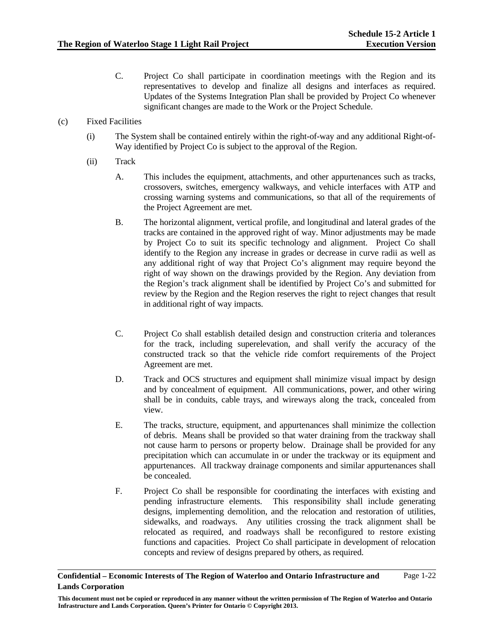- C. Project Co shall participate in coordination meetings with the Region and its representatives to develop and finalize all designs and interfaces as required. Updates of the Systems Integration Plan shall be provided by Project Co whenever significant changes are made to the Work or the Project Schedule.
- (c) Fixed Facilities
	- (i) The System shall be contained entirely within the right-of-way and any additional Right-of-Way identified by Project Co is subject to the approval of the Region.
	- (ii) Track
		- A. This includes the equipment, attachments, and other appurtenances such as tracks, crossovers, switches, emergency walkways, and vehicle interfaces with ATP and crossing warning systems and communications, so that all of the requirements of the Project Agreement are met.
		- B. The horizontal alignment, vertical profile, and longitudinal and lateral grades of the tracks are contained in the approved right of way. Minor adjustments may be made by Project Co to suit its specific technology and alignment. Project Co shall identify to the Region any increase in grades or decrease in curve radii as well as any additional right of way that Project Co's alignment may require beyond the right of way shown on the drawings provided by the Region. Any deviation from the Region's track alignment shall be identified by Project Co's and submitted for review by the Region and the Region reserves the right to reject changes that result in additional right of way impacts.
		- C. Project Co shall establish detailed design and construction criteria and tolerances for the track, including superelevation, and shall verify the accuracy of the constructed track so that the vehicle ride comfort requirements of the Project Agreement are met.
		- D. Track and OCS structures and equipment shall minimize visual impact by design and by concealment of equipment. All communications, power, and other wiring shall be in conduits, cable trays, and wireways along the track, concealed from view.
		- E. The tracks, structure, equipment, and appurtenances shall minimize the collection of debris. Means shall be provided so that water draining from the trackway shall not cause harm to persons or property below. Drainage shall be provided for any precipitation which can accumulate in or under the trackway or its equipment and appurtenances. All trackway drainage components and similar appurtenances shall be concealed.
		- F. Project Co shall be responsible for coordinating the interfaces with existing and pending infrastructure elements. This responsibility shall include generating designs, implementing demolition, and the relocation and restoration of utilities, sidewalks, and roadways. Any utilities crossing the track alignment shall be relocated as required, and roadways shall be reconfigured to restore existing functions and capacities. Project Co shall participate in development of relocation concepts and review of designs prepared by others, as required.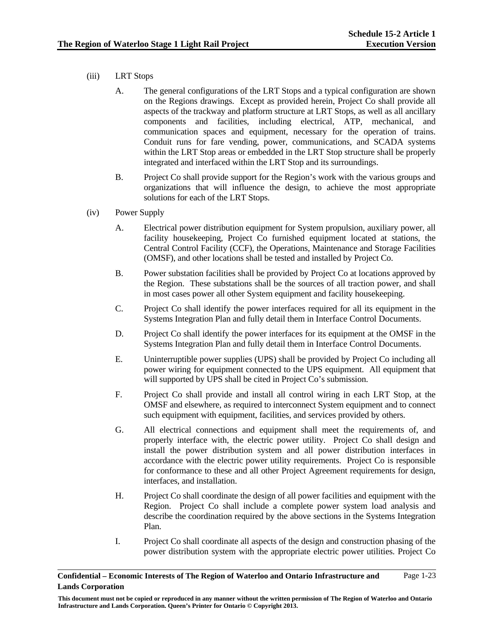- (iii) LRT Stops
	- A. The general configurations of the LRT Stops and a typical configuration are shown on the Regions drawings. Except as provided herein, Project Co shall provide all aspects of the trackway and platform structure at LRT Stops, as well as all ancillary components and facilities, including electrical, ATP, mechanical, and communication spaces and equipment, necessary for the operation of trains. Conduit runs for fare vending, power, communications, and SCADA systems within the LRT Stop areas or embedded in the LRT Stop structure shall be properly integrated and interfaced within the LRT Stop and its surroundings.
	- B. Project Co shall provide support for the Region's work with the various groups and organizations that will influence the design, to achieve the most appropriate solutions for each of the LRT Stops.
- (iv) Power Supply
	- A. Electrical power distribution equipment for System propulsion, auxiliary power, all facility housekeeping, Project Co furnished equipment located at stations, the Central Control Facility (CCF), the Operations, Maintenance and Storage Facilities (OMSF), and other locations shall be tested and installed by Project Co.
	- B. Power substation facilities shall be provided by Project Co at locations approved by the Region. These substations shall be the sources of all traction power, and shall in most cases power all other System equipment and facility housekeeping.
	- C. Project Co shall identify the power interfaces required for all its equipment in the Systems Integration Plan and fully detail them in Interface Control Documents.
	- D. Project Co shall identify the power interfaces for its equipment at the OMSF in the Systems Integration Plan and fully detail them in Interface Control Documents.
	- E. Uninterruptible power supplies (UPS) shall be provided by Project Co including all power wiring for equipment connected to the UPS equipment. All equipment that will supported by UPS shall be cited in Project Co's submission.
	- F. Project Co shall provide and install all control wiring in each LRT Stop, at the OMSF and elsewhere, as required to interconnect System equipment and to connect such equipment with equipment, facilities, and services provided by others.
	- G. All electrical connections and equipment shall meet the requirements of, and properly interface with, the electric power utility. Project Co shall design and install the power distribution system and all power distribution interfaces in accordance with the electric power utility requirements. Project Co is responsible for conformance to these and all other Project Agreement requirements for design, interfaces, and installation.
	- H. Project Co shall coordinate the design of all power facilities and equipment with the Region. Project Co shall include a complete power system load analysis and describe the coordination required by the above sections in the Systems Integration Plan.
	- I. Project Co shall coordinate all aspects of the design and construction phasing of the power distribution system with the appropriate electric power utilities. Project Co

**Confidential – Economic Interests of The Region of Waterloo and Ontario Infrastructure and Lands Corporation**  Page 1-23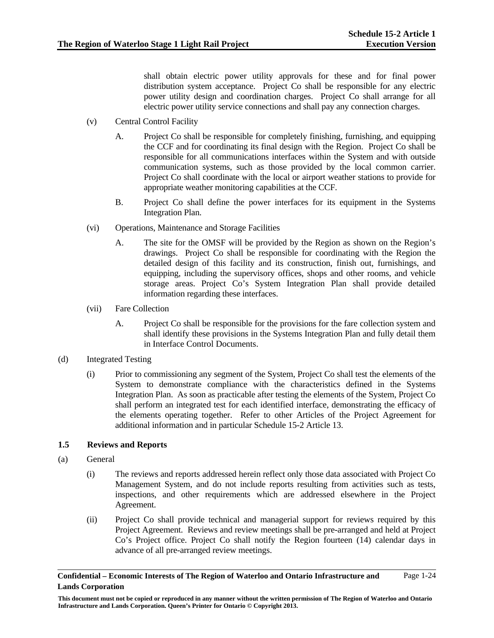shall obtain electric power utility approvals for these and for final power distribution system acceptance. Project Co shall be responsible for any electric power utility design and coordination charges. Project Co shall arrange for all electric power utility service connections and shall pay any connection charges.

- (v) Central Control Facility
	- A. Project Co shall be responsible for completely finishing, furnishing, and equipping the CCF and for coordinating its final design with the Region. Project Co shall be responsible for all communications interfaces within the System and with outside communication systems, such as those provided by the local common carrier. Project Co shall coordinate with the local or airport weather stations to provide for appropriate weather monitoring capabilities at the CCF.
	- B. Project Co shall define the power interfaces for its equipment in the Systems Integration Plan.
- (vi) Operations, Maintenance and Storage Facilities
	- A. The site for the OMSF will be provided by the Region as shown on the Region's drawings. Project Co shall be responsible for coordinating with the Region the detailed design of this facility and its construction, finish out, furnishings, and equipping, including the supervisory offices, shops and other rooms, and vehicle storage areas. Project Co's System Integration Plan shall provide detailed information regarding these interfaces.
- (vii) Fare Collection
	- A. Project Co shall be responsible for the provisions for the fare collection system and shall identify these provisions in the Systems Integration Plan and fully detail them in Interface Control Documents.
- (d) Integrated Testing
	- (i) Prior to commissioning any segment of the System, Project Co shall test the elements of the System to demonstrate compliance with the characteristics defined in the Systems Integration Plan. As soon as practicable after testing the elements of the System, Project Co shall perform an integrated test for each identified interface, demonstrating the efficacy of the elements operating together. Refer to other Articles of the Project Agreement for additional information and in particular Schedule 15-2 Article 13.

# **1.5 Reviews and Reports**

- (a) General
	- (i) The reviews and reports addressed herein reflect only those data associated with Project Co Management System, and do not include reports resulting from activities such as tests, inspections, and other requirements which are addressed elsewhere in the Project Agreement.
	- (ii) Project Co shall provide technical and managerial support for reviews required by this Project Agreement. Reviews and review meetings shall be pre-arranged and held at Project Co's Project office. Project Co shall notify the Region fourteen (14) calendar days in advance of all pre-arranged review meetings.

**Confidential – Economic Interests of The Region of Waterloo and Ontario Infrastructure and Lands Corporation**  Page 1-24

**This document must not be copied or reproduced in any manner without the written permission of The Region of Waterloo and Ontario Infrastructure and Lands Corporation. Queen's Printer for Ontario © Copyright 2013.**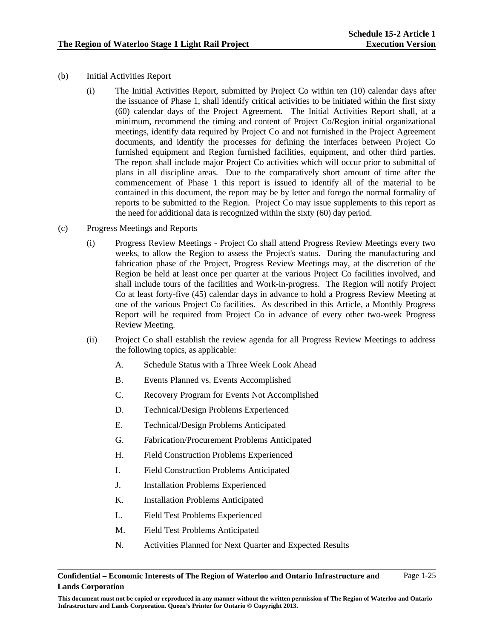## (b) Initial Activities Report

- (i) The Initial Activities Report, submitted by Project Co within ten (10) calendar days after the issuance of Phase 1, shall identify critical activities to be initiated within the first sixty (60) calendar days of the Project Agreement. The Initial Activities Report shall, at a minimum, recommend the timing and content of Project Co/Region initial organizational meetings, identify data required by Project Co and not furnished in the Project Agreement documents, and identify the processes for defining the interfaces between Project Co furnished equipment and Region furnished facilities, equipment, and other third parties. The report shall include major Project Co activities which will occur prior to submittal of plans in all discipline areas. Due to the comparatively short amount of time after the commencement of Phase 1 this report is issued to identify all of the material to be contained in this document, the report may be by letter and forego the normal formality of reports to be submitted to the Region. Project Co may issue supplements to this report as the need for additional data is recognized within the sixty (60) day period.
- (c) Progress Meetings and Reports
	- (i) Progress Review Meetings Project Co shall attend Progress Review Meetings every two weeks, to allow the Region to assess the Project's status. During the manufacturing and fabrication phase of the Project, Progress Review Meetings may, at the discretion of the Region be held at least once per quarter at the various Project Co facilities involved, and shall include tours of the facilities and Work-in-progress. The Region will notify Project Co at least forty-five (45) calendar days in advance to hold a Progress Review Meeting at one of the various Project Co facilities. As described in this Article, a Monthly Progress Report will be required from Project Co in advance of every other two-week Progress Review Meeting.
	- (ii) Project Co shall establish the review agenda for all Progress Review Meetings to address the following topics, as applicable:
		- A. Schedule Status with a Three Week Look Ahead
		- B. Events Planned vs. Events Accomplished
		- C. Recovery Program for Events Not Accomplished
		- D. Technical/Design Problems Experienced
		- E. Technical/Design Problems Anticipated
		- G. Fabrication/Procurement Problems Anticipated
		- H. Field Construction Problems Experienced
		- I. Field Construction Problems Anticipated
		- J. Installation Problems Experienced
		- K. Installation Problems Anticipated
		- L. Field Test Problems Experienced
		- M. Field Test Problems Anticipated
		- N. Activities Planned for Next Quarter and Expected Results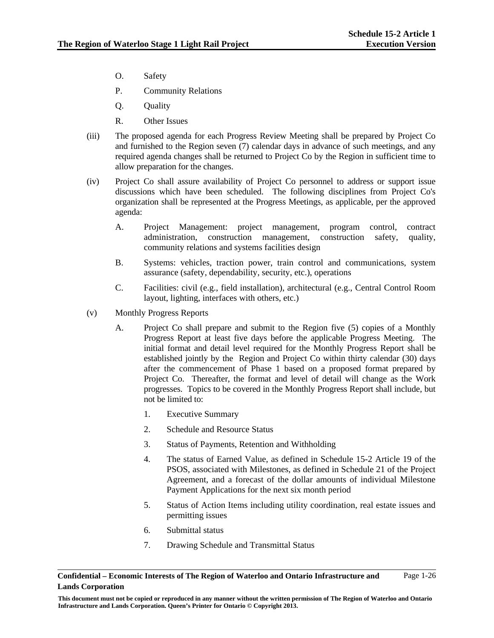- O. Safety
- P. Community Relations
- Q. Quality
- R. Other Issues
- (iii) The proposed agenda for each Progress Review Meeting shall be prepared by Project Co and furnished to the Region seven (7) calendar days in advance of such meetings, and any required agenda changes shall be returned to Project Co by the Region in sufficient time to allow preparation for the changes.
- (iv) Project Co shall assure availability of Project Co personnel to address or support issue discussions which have been scheduled. The following disciplines from Project Co's organization shall be represented at the Progress Meetings, as applicable, per the approved agenda:
	- A. Project Management: project management, program control, contract administration, construction management, construction safety, quality, community relations and systems facilities design
	- B. Systems: vehicles, traction power, train control and communications, system assurance (safety, dependability, security, etc.), operations
	- C. Facilities: civil (e.g., field installation), architectural (e.g., Central Control Room layout, lighting, interfaces with others, etc.)
- (v) Monthly Progress Reports
	- A. Project Co shall prepare and submit to the Region five (5) copies of a Monthly Progress Report at least five days before the applicable Progress Meeting. The initial format and detail level required for the Monthly Progress Report shall be established jointly by the Region and Project Co within thirty calendar (30) days after the commencement of Phase 1 based on a proposed format prepared by Project Co. Thereafter, the format and level of detail will change as the Work progresses. Topics to be covered in the Monthly Progress Report shall include, but not be limited to:
		- 1. Executive Summary
		- 2. Schedule and Resource Status
		- 3. Status of Payments, Retention and Withholding
		- 4. The status of Earned Value, as defined in Schedule 15-2 Article 19 of the PSOS, associated with Milestones, as defined in Schedule 21 of the Project Agreement, and a forecast of the dollar amounts of individual Milestone Payment Applications for the next six month period
		- 5. Status of Action Items including utility coordination, real estate issues and permitting issues
		- 6. Submittal status
		- 7. Drawing Schedule and Transmittal Status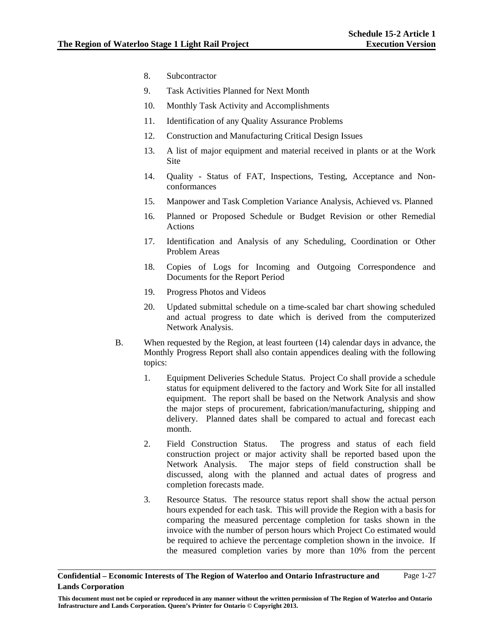- 8. Subcontractor
- 9. Task Activities Planned for Next Month
- 10. Monthly Task Activity and Accomplishments
- 11. Identification of any Quality Assurance Problems
- 12. Construction and Manufacturing Critical Design Issues
- 13. A list of major equipment and material received in plants or at the Work Site
- 14. Quality Status of FAT, Inspections, Testing, Acceptance and Nonconformances
- 15. Manpower and Task Completion Variance Analysis, Achieved vs. Planned
- 16. Planned or Proposed Schedule or Budget Revision or other Remedial Actions
- 17. Identification and Analysis of any Scheduling, Coordination or Other Problem Areas
- 18. Copies of Logs for Incoming and Outgoing Correspondence and Documents for the Report Period
- 19. Progress Photos and Videos
- 20. Updated submittal schedule on a time-scaled bar chart showing scheduled and actual progress to date which is derived from the computerized Network Analysis.
- B. When requested by the Region, at least fourteen (14) calendar days in advance, the Monthly Progress Report shall also contain appendices dealing with the following topics:
	- 1. Equipment Deliveries Schedule Status. Project Co shall provide a schedule status for equipment delivered to the factory and Work Site for all installed equipment. The report shall be based on the Network Analysis and show the major steps of procurement, fabrication/manufacturing, shipping and delivery. Planned dates shall be compared to actual and forecast each month.
	- 2. Field Construction Status. The progress and status of each field construction project or major activity shall be reported based upon the Network Analysis. The major steps of field construction shall be discussed, along with the planned and actual dates of progress and completion forecasts made.
	- 3. Resource Status. The resource status report shall show the actual person hours expended for each task. This will provide the Region with a basis for comparing the measured percentage completion for tasks shown in the invoice with the number of person hours which Project Co estimated would be required to achieve the percentage completion shown in the invoice. If the measured completion varies by more than 10% from the percent

**This document must not be copied or reproduced in any manner without the written permission of The Region of Waterloo and Ontario Infrastructure and Lands Corporation. Queen's Printer for Ontario © Copyright 2013.**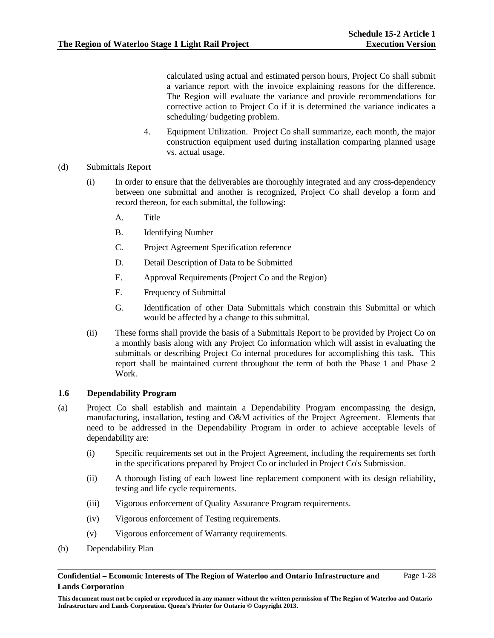calculated using actual and estimated person hours, Project Co shall submit a variance report with the invoice explaining reasons for the difference. The Region will evaluate the variance and provide recommendations for corrective action to Project Co if it is determined the variance indicates a scheduling/ budgeting problem.

- 4. Equipment Utilization. Project Co shall summarize, each month, the major construction equipment used during installation comparing planned usage vs. actual usage.
- (d) Submittals Report
	- (i) In order to ensure that the deliverables are thoroughly integrated and any cross-dependency between one submittal and another is recognized, Project Co shall develop a form and record thereon, for each submittal, the following:
		- A. Title
		- B. Identifying Number
		- C. Project Agreement Specification reference
		- D. Detail Description of Data to be Submitted
		- E. Approval Requirements (Project Co and the Region)
		- F. Frequency of Submittal
		- G. Identification of other Data Submittals which constrain this Submittal or which would be affected by a change to this submittal.
	- (ii) These forms shall provide the basis of a Submittals Report to be provided by Project Co on a monthly basis along with any Project Co information which will assist in evaluating the submittals or describing Project Co internal procedures for accomplishing this task. This report shall be maintained current throughout the term of both the Phase 1 and Phase 2 Work.

## **1.6 Dependability Program**

- (a) Project Co shall establish and maintain a Dependability Program encompassing the design, manufacturing, installation, testing and O&M activities of the Project Agreement. Elements that need to be addressed in the Dependability Program in order to achieve acceptable levels of dependability are:
	- (i) Specific requirements set out in the Project Agreement, including the requirements set forth in the specifications prepared by Project Co or included in Project Co's Submission.
	- (ii) A thorough listing of each lowest line replacement component with its design reliability, testing and life cycle requirements.
	- (iii) Vigorous enforcement of Quality Assurance Program requirements.
	- (iv) Vigorous enforcement of Testing requirements.
	- (v) Vigorous enforcement of Warranty requirements.
- (b) Dependability Plan

**This document must not be copied or reproduced in any manner without the written permission of The Region of Waterloo and Ontario Infrastructure and Lands Corporation. Queen's Printer for Ontario © Copyright 2013.**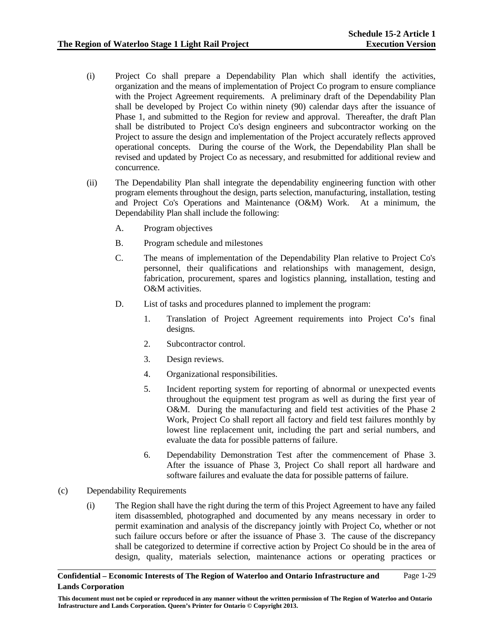- (i) Project Co shall prepare a Dependability Plan which shall identify the activities, organization and the means of implementation of Project Co program to ensure compliance with the Project Agreement requirements. A preliminary draft of the Dependability Plan shall be developed by Project Co within ninety (90) calendar days after the issuance of Phase 1, and submitted to the Region for review and approval. Thereafter, the draft Plan shall be distributed to Project Co's design engineers and subcontractor working on the Project to assure the design and implementation of the Project accurately reflects approved operational concepts. During the course of the Work, the Dependability Plan shall be revised and updated by Project Co as necessary, and resubmitted for additional review and concurrence.
- (ii) The Dependability Plan shall integrate the dependability engineering function with other program elements throughout the design, parts selection, manufacturing, installation, testing and Project Co's Operations and Maintenance (O&M) Work. At a minimum, the Dependability Plan shall include the following:
	- A. Program objectives
	- B. Program schedule and milestones
	- C. The means of implementation of the Dependability Plan relative to Project Co's personnel, their qualifications and relationships with management, design, fabrication, procurement, spares and logistics planning, installation, testing and O&M activities.
	- D. List of tasks and procedures planned to implement the program:
		- 1. Translation of Project Agreement requirements into Project Co's final designs.
		- 2. Subcontractor control.
		- 3. Design reviews.
		- 4. Organizational responsibilities.
		- 5. Incident reporting system for reporting of abnormal or unexpected events throughout the equipment test program as well as during the first year of O&M. During the manufacturing and field test activities of the Phase 2 Work, Project Co shall report all factory and field test failures monthly by lowest line replacement unit, including the part and serial numbers, and evaluate the data for possible patterns of failure.
		- 6. Dependability Demonstration Test after the commencement of Phase 3. After the issuance of Phase 3, Project Co shall report all hardware and software failures and evaluate the data for possible patterns of failure.
- (c) Dependability Requirements
	- (i) The Region shall have the right during the term of this Project Agreement to have any failed item disassembled, photographed and documented by any means necessary in order to permit examination and analysis of the discrepancy jointly with Project Co, whether or not such failure occurs before or after the issuance of Phase 3. The cause of the discrepancy shall be categorized to determine if corrective action by Project Co should be in the area of design, quality, materials selection, maintenance actions or operating practices or

**This document must not be copied or reproduced in any manner without the written permission of The Region of Waterloo and Ontario Infrastructure and Lands Corporation. Queen's Printer for Ontario © Copyright 2013.**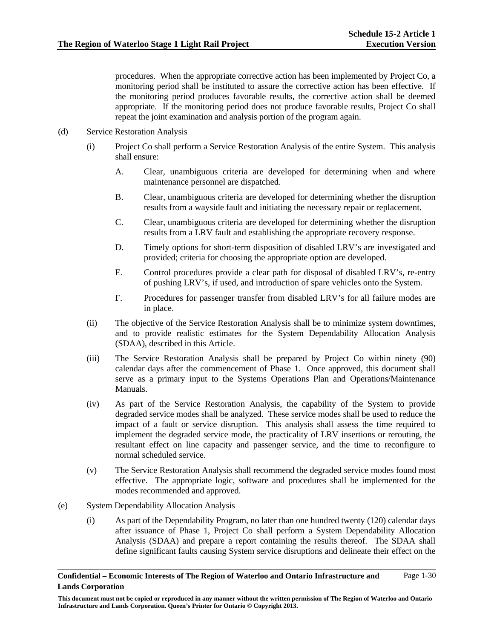procedures. When the appropriate corrective action has been implemented by Project Co, a monitoring period shall be instituted to assure the corrective action has been effective. If the monitoring period produces favorable results, the corrective action shall be deemed appropriate. If the monitoring period does not produce favorable results, Project Co shall repeat the joint examination and analysis portion of the program again.

- (d) Service Restoration Analysis
	- (i) Project Co shall perform a Service Restoration Analysis of the entire System. This analysis shall ensure:
		- A. Clear, unambiguous criteria are developed for determining when and where maintenance personnel are dispatched.
		- B. Clear, unambiguous criteria are developed for determining whether the disruption results from a wayside fault and initiating the necessary repair or replacement.
		- C. Clear, unambiguous criteria are developed for determining whether the disruption results from a LRV fault and establishing the appropriate recovery response.
		- D. Timely options for short-term disposition of disabled LRV's are investigated and provided; criteria for choosing the appropriate option are developed.
		- E. Control procedures provide a clear path for disposal of disabled LRV's, re-entry of pushing LRV's, if used, and introduction of spare vehicles onto the System.
		- F. Procedures for passenger transfer from disabled LRV's for all failure modes are in place.
	- (ii) The objective of the Service Restoration Analysis shall be to minimize system downtimes, and to provide realistic estimates for the System Dependability Allocation Analysis (SDAA), described in this Article.
	- (iii) The Service Restoration Analysis shall be prepared by Project Co within ninety (90) calendar days after the commencement of Phase 1. Once approved, this document shall serve as a primary input to the Systems Operations Plan and Operations/Maintenance Manuals.
	- (iv) As part of the Service Restoration Analysis, the capability of the System to provide degraded service modes shall be analyzed. These service modes shall be used to reduce the impact of a fault or service disruption. This analysis shall assess the time required to implement the degraded service mode, the practicality of LRV insertions or rerouting, the resultant effect on line capacity and passenger service, and the time to reconfigure to normal scheduled service.
	- (v) The Service Restoration Analysis shall recommend the degraded service modes found most effective. The appropriate logic, software and procedures shall be implemented for the modes recommended and approved.
- (e) System Dependability Allocation Analysis
	- (i) As part of the Dependability Program, no later than one hundred twenty (120) calendar days after issuance of Phase 1, Project Co shall perform a System Dependability Allocation Analysis (SDAA) and prepare a report containing the results thereof. The SDAA shall define significant faults causing System service disruptions and delineate their effect on the

**This document must not be copied or reproduced in any manner without the written permission of The Region of Waterloo and Ontario Infrastructure and Lands Corporation. Queen's Printer for Ontario © Copyright 2013.**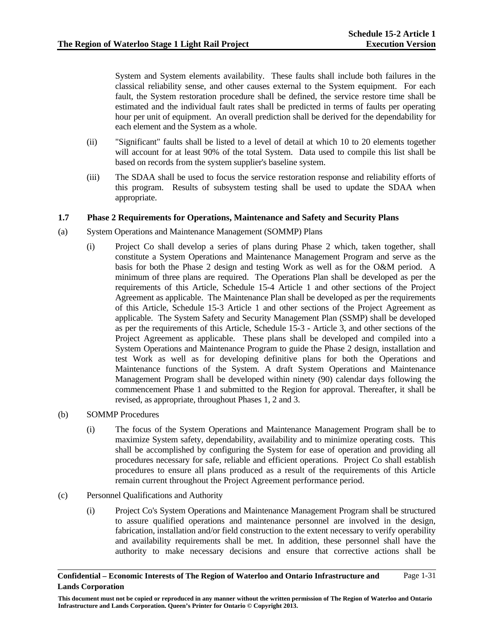System and System elements availability. These faults shall include both failures in the classical reliability sense, and other causes external to the System equipment. For each fault, the System restoration procedure shall be defined, the service restore time shall be estimated and the individual fault rates shall be predicted in terms of faults per operating hour per unit of equipment. An overall prediction shall be derived for the dependability for each element and the System as a whole.

- (ii) "Significant" faults shall be listed to a level of detail at which 10 to 20 elements together will account for at least 90% of the total System. Data used to compile this list shall be based on records from the system supplier's baseline system.
- (iii) The SDAA shall be used to focus the service restoration response and reliability efforts of this program. Results of subsystem testing shall be used to update the SDAA when appropriate.

### **1.7 Phase 2 Requirements for Operations, Maintenance and Safety and Security Plans**

- (a) System Operations and Maintenance Management (SOMMP) Plans
	- (i) Project Co shall develop a series of plans during Phase 2 which, taken together, shall constitute a System Operations and Maintenance Management Program and serve as the basis for both the Phase 2 design and testing Work as well as for the O&M period. A minimum of three plans are required. The Operations Plan shall be developed as per the requirements of this Article, Schedule 15-4 Article 1 and other sections of the Project Agreement as applicable. The Maintenance Plan shall be developed as per the requirements of this Article, Schedule 15-3 Article 1 and other sections of the Project Agreement as applicable. The System Safety and Security Management Plan (SSMP) shall be developed as per the requirements of this Article, Schedule 15-3 - Article 3, and other sections of the Project Agreement as applicable. These plans shall be developed and compiled into a System Operations and Maintenance Program to guide the Phase 2 design, installation and test Work as well as for developing definitive plans for both the Operations and Maintenance functions of the System. A draft System Operations and Maintenance Management Program shall be developed within ninety (90) calendar days following the commencement Phase 1 and submitted to the Region for approval. Thereafter, it shall be revised, as appropriate, throughout Phases 1, 2 and 3.
- (b) SOMMP Procedures
	- (i) The focus of the System Operations and Maintenance Management Program shall be to maximize System safety, dependability, availability and to minimize operating costs. This shall be accomplished by configuring the System for ease of operation and providing all procedures necessary for safe, reliable and efficient operations. Project Co shall establish procedures to ensure all plans produced as a result of the requirements of this Article remain current throughout the Project Agreement performance period.
- (c) Personnel Qualifications and Authority
	- (i) Project Co's System Operations and Maintenance Management Program shall be structured to assure qualified operations and maintenance personnel are involved in the design, fabrication, installation and/or field construction to the extent necessary to verify operability and availability requirements shall be met. In addition, these personnel shall have the authority to make necessary decisions and ensure that corrective actions shall be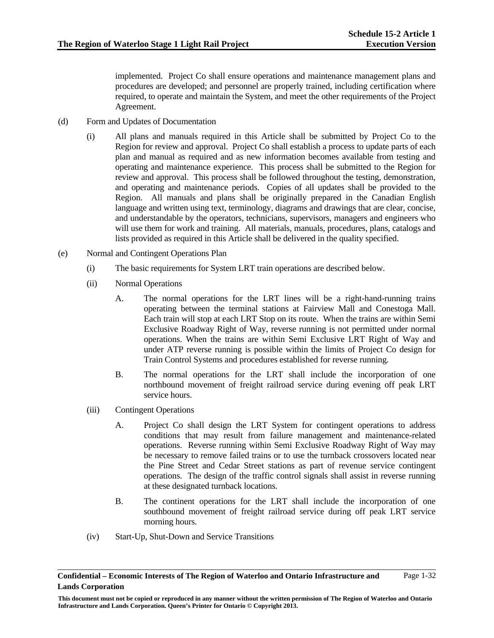implemented. Project Co shall ensure operations and maintenance management plans and procedures are developed; and personnel are properly trained, including certification where required, to operate and maintain the System, and meet the other requirements of the Project Agreement.

- (d) Form and Updates of Documentation
	- (i) All plans and manuals required in this Article shall be submitted by Project Co to the Region for review and approval. Project Co shall establish a process to update parts of each plan and manual as required and as new information becomes available from testing and operating and maintenance experience. This process shall be submitted to the Region for review and approval. This process shall be followed throughout the testing, demonstration, and operating and maintenance periods. Copies of all updates shall be provided to the Region. All manuals and plans shall be originally prepared in the Canadian English language and written using text, terminology, diagrams and drawings that are clear, concise, and understandable by the operators, technicians, supervisors, managers and engineers who will use them for work and training. All materials, manuals, procedures, plans, catalogs and lists provided as required in this Article shall be delivered in the quality specified.
- (e) Normal and Contingent Operations Plan
	- (i) The basic requirements for System LRT train operations are described below.
	- (ii) Normal Operations
		- A. The normal operations for the LRT lines will be a right-hand-running trains operating between the terminal stations at Fairview Mall and Conestoga Mall. Each train will stop at each LRT Stop on its route. When the trains are within Semi Exclusive Roadway Right of Way, reverse running is not permitted under normal operations. When the trains are within Semi Exclusive LRT Right of Way and under ATP reverse running is possible within the limits of Project Co design for Train Control Systems and procedures established for reverse running.
		- B. The normal operations for the LRT shall include the incorporation of one northbound movement of freight railroad service during evening off peak LRT service hours.
	- (iii) Contingent Operations
		- A. Project Co shall design the LRT System for contingent operations to address conditions that may result from failure management and maintenance-related operations. Reverse running within Semi Exclusive Roadway Right of Way may be necessary to remove failed trains or to use the turnback crossovers located near the Pine Street and Cedar Street stations as part of revenue service contingent operations. The design of the traffic control signals shall assist in reverse running at these designated turnback locations.
		- B. The continent operations for the LRT shall include the incorporation of one southbound movement of freight railroad service during off peak LRT service morning hours.
	- (iv) Start-Up, Shut-Down and Service Transitions

**Confidential – Economic Interests of The Region of Waterloo and Ontario Infrastructure and Lands Corporation**  Page 1-32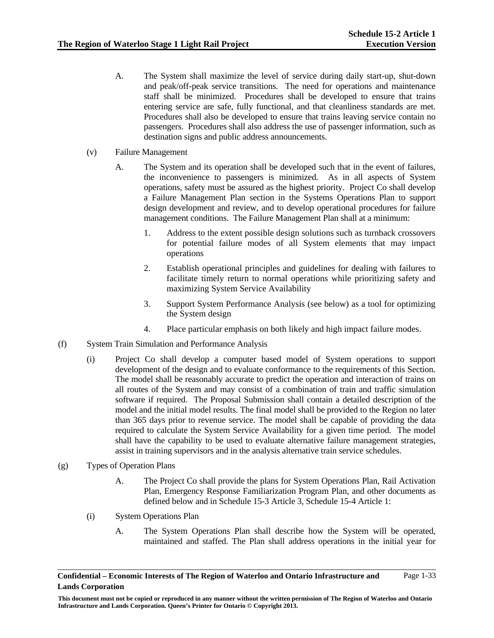- A. The System shall maximize the level of service during daily start-up, shut-down and peak/off-peak service transitions. The need for operations and maintenance staff shall be minimized. Procedures shall be developed to ensure that trains entering service are safe, fully functional, and that cleanliness standards are met. Procedures shall also be developed to ensure that trains leaving service contain no passengers. Procedures shall also address the use of passenger information, such as destination signs and public address announcements.
- (v) Failure Management
	- A. The System and its operation shall be developed such that in the event of failures, the inconvenience to passengers is minimized. As in all aspects of System operations, safety must be assured as the highest priority. Project Co shall develop a Failure Management Plan section in the Systems Operations Plan to support design development and review, and to develop operational procedures for failure management conditions. The Failure Management Plan shall at a minimum:
		- 1. Address to the extent possible design solutions such as turnback crossovers for potential failure modes of all System elements that may impact operations
		- 2. Establish operational principles and guidelines for dealing with failures to facilitate timely return to normal operations while prioritizing safety and maximizing System Service Availability
		- 3. Support System Performance Analysis (see below) as a tool for optimizing the System design
		- 4. Place particular emphasis on both likely and high impact failure modes.
- (f) System Train Simulation and Performance Analysis
	- (i) Project Co shall develop a computer based model of System operations to support development of the design and to evaluate conformance to the requirements of this Section. The model shall be reasonably accurate to predict the operation and interaction of trains on all routes of the System and may consist of a combination of train and traffic simulation software if required. The Proposal Submission shall contain a detailed description of the model and the initial model results. The final model shall be provided to the Region no later than 365 days prior to revenue service. The model shall be capable of providing the data required to calculate the System Service Availability for a given time period. The model shall have the capability to be used to evaluate alternative failure management strategies, assist in training supervisors and in the analysis alternative train service schedules.
- (g) Types of Operation Plans
	- A. The Project Co shall provide the plans for System Operations Plan, Rail Activation Plan, Emergency Response Familiarization Program Plan, and other documents as defined below and in Schedule 15-3 Article 3, Schedule 15-4 Article 1:
	- (i) System Operations Plan
		- A. The System Operations Plan shall describe how the System will be operated, maintained and staffed. The Plan shall address operations in the initial year for

**Confidential – Economic Interests of The Region of Waterloo and Ontario Infrastructure and Lands Corporation**  Page 1-33

**This document must not be copied or reproduced in any manner without the written permission of The Region of Waterloo and Ontario Infrastructure and Lands Corporation. Queen's Printer for Ontario © Copyright 2013.**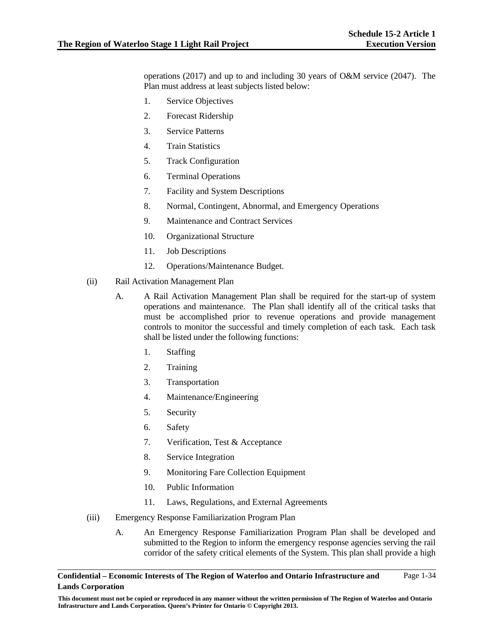operations (2017) and up to and including 30 years of O&M service (2047). The Plan must address at least subjects listed below:

- 1. Service Objectives
- 2. Forecast Ridership
- 3. Service Patterns
- 4. Train Statistics
- 5. Track Configuration
- 6. Terminal Operations
- 7. Facility and System Descriptions
- 8. Normal, Contingent, Abnormal, and Emergency Operations
- 9. Maintenance and Contract Services
- 10. Organizational Structure
- 11. Job Descriptions
- 12. Operations/Maintenance Budget.
- (ii) Rail Activation Management Plan
	- A. A Rail Activation Management Plan shall be required for the start-up of system operations and maintenance. The Plan shall identify all of the critical tasks that must be accomplished prior to revenue operations and provide management controls to monitor the successful and timely completion of each task. Each task shall be listed under the following functions:
		- 1. Staffing
		- 2. Training
		- 3. Transportation
		- 4. Maintenance/Engineering
		- 5. Security
		- 6. Safety
		- 7. Verification, Test & Acceptance
		- 8. Service Integration
		- 9. Monitoring Fare Collection Equipment
		- 10. Public Information
		- 11. Laws, Regulations, and External Agreements
- (iii) Emergency Response Familiarization Program Plan
	- A. An Emergency Response Familiarization Program Plan shall be developed and submitted to the Region to inform the emergency response agencies serving the rail corridor of the safety critical elements of the System. This plan shall provide a high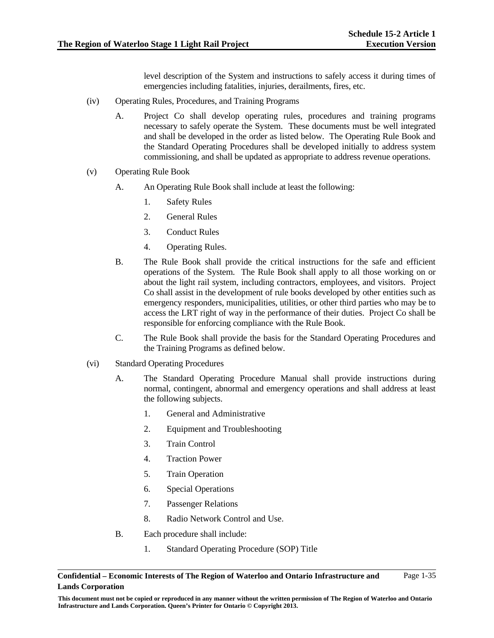level description of the System and instructions to safely access it during times of emergencies including fatalities, injuries, derailments, fires, etc.

- (iv) Operating Rules, Procedures, and Training Programs
	- A. Project Co shall develop operating rules, procedures and training programs necessary to safely operate the System. These documents must be well integrated and shall be developed in the order as listed below. The Operating Rule Book and the Standard Operating Procedures shall be developed initially to address system commissioning, and shall be updated as appropriate to address revenue operations.
- (v) Operating Rule Book
	- A. An Operating Rule Book shall include at least the following:
		- 1. Safety Rules
		- 2. General Rules
		- 3. Conduct Rules
		- 4. Operating Rules.
	- B. The Rule Book shall provide the critical instructions for the safe and efficient operations of the System. The Rule Book shall apply to all those working on or about the light rail system, including contractors, employees, and visitors. Project Co shall assist in the development of rule books developed by other entities such as emergency responders, municipalities, utilities, or other third parties who may be to access the LRT right of way in the performance of their duties. Project Co shall be responsible for enforcing compliance with the Rule Book.
	- C. The Rule Book shall provide the basis for the Standard Operating Procedures and the Training Programs as defined below.
- (vi) Standard Operating Procedures
	- A. The Standard Operating Procedure Manual shall provide instructions during normal, contingent, abnormal and emergency operations and shall address at least the following subjects.
		- 1. General and Administrative
		- 2. Equipment and Troubleshooting
		- 3. Train Control
		- 4. Traction Power
		- 5. Train Operation
		- 6. Special Operations
		- 7. Passenger Relations
		- 8. Radio Network Control and Use.
	- B. Each procedure shall include:
		- 1. Standard Operating Procedure (SOP) Title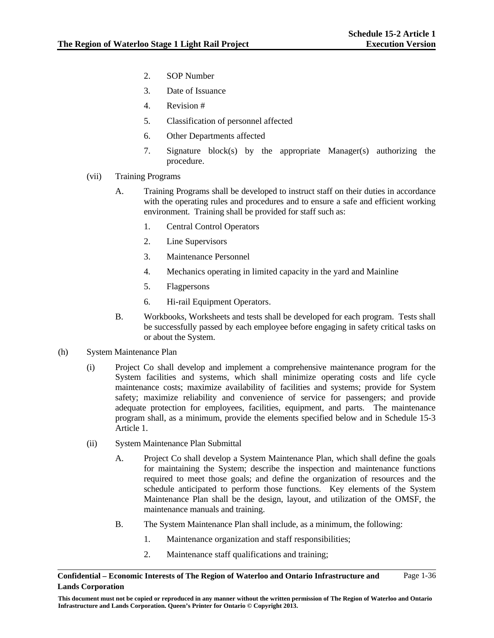- 2. SOP Number
- 3. Date of Issuance
- 4. Revision #
- 5. Classification of personnel affected
- 6. Other Departments affected
- 7. Signature block(s) by the appropriate Manager(s) authorizing the procedure.
- (vii) Training Programs
	- A. Training Programs shall be developed to instruct staff on their duties in accordance with the operating rules and procedures and to ensure a safe and efficient working environment. Training shall be provided for staff such as:
		- 1. Central Control Operators
		- 2. Line Supervisors
		- 3. Maintenance Personnel
		- 4. Mechanics operating in limited capacity in the yard and Mainline
		- 5. Flagpersons
		- 6. Hi-rail Equipment Operators.
	- B. Workbooks, Worksheets and tests shall be developed for each program. Tests shall be successfully passed by each employee before engaging in safety critical tasks on or about the System.
- (h) System Maintenance Plan
	- (i) Project Co shall develop and implement a comprehensive maintenance program for the System facilities and systems, which shall minimize operating costs and life cycle maintenance costs; maximize availability of facilities and systems; provide for System safety; maximize reliability and convenience of service for passengers; and provide adequate protection for employees, facilities, equipment, and parts. The maintenance program shall, as a minimum, provide the elements specified below and in Schedule 15-3 Article 1.
	- (ii) System Maintenance Plan Submittal
		- A. Project Co shall develop a System Maintenance Plan, which shall define the goals for maintaining the System; describe the inspection and maintenance functions required to meet those goals; and define the organization of resources and the schedule anticipated to perform those functions. Key elements of the System Maintenance Plan shall be the design, layout, and utilization of the OMSF, the maintenance manuals and training.
		- B. The System Maintenance Plan shall include, as a minimum, the following:
			- 1. Maintenance organization and staff responsibilities;
			- 2. Maintenance staff qualifications and training;

**Confidential – Economic Interests of The Region of Waterloo and Ontario Infrastructure and Lands Corporation**  Page 1-36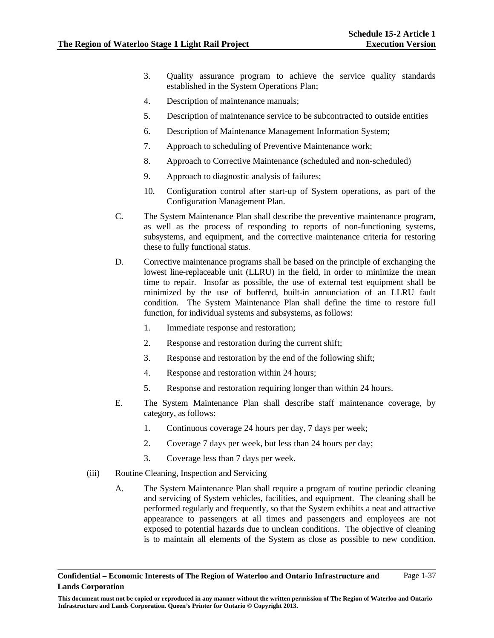- 3. Quality assurance program to achieve the service quality standards established in the System Operations Plan;
- 4. Description of maintenance manuals;
- 5. Description of maintenance service to be subcontracted to outside entities
- 6. Description of Maintenance Management Information System;
- 7. Approach to scheduling of Preventive Maintenance work;
- 8. Approach to Corrective Maintenance (scheduled and non-scheduled)
- 9. Approach to diagnostic analysis of failures;
- 10. Configuration control after start-up of System operations, as part of the Configuration Management Plan.
- C. The System Maintenance Plan shall describe the preventive maintenance program, as well as the process of responding to reports of non-functioning systems, subsystems, and equipment, and the corrective maintenance criteria for restoring these to fully functional status.
- D. Corrective maintenance programs shall be based on the principle of exchanging the lowest line-replaceable unit (LLRU) in the field, in order to minimize the mean time to repair. Insofar as possible, the use of external test equipment shall be minimized by the use of buffered, built-in annunciation of an LLRU fault condition. The System Maintenance Plan shall define the time to restore full function, for individual systems and subsystems, as follows:
	- 1. Immediate response and restoration;
	- 2. Response and restoration during the current shift;
	- 3. Response and restoration by the end of the following shift;
	- 4. Response and restoration within 24 hours;
	- 5. Response and restoration requiring longer than within 24 hours.
- E. The System Maintenance Plan shall describe staff maintenance coverage, by category, as follows:
	- 1. Continuous coverage 24 hours per day, 7 days per week;
	- 2. Coverage 7 days per week, but less than 24 hours per day;
	- 3. Coverage less than 7 days per week.
- (iii) Routine Cleaning, Inspection and Servicing
	- A. The System Maintenance Plan shall require a program of routine periodic cleaning and servicing of System vehicles, facilities, and equipment. The cleaning shall be performed regularly and frequently, so that the System exhibits a neat and attractive appearance to passengers at all times and passengers and employees are not exposed to potential hazards due to unclean conditions. The objective of cleaning is to maintain all elements of the System as close as possible to new condition.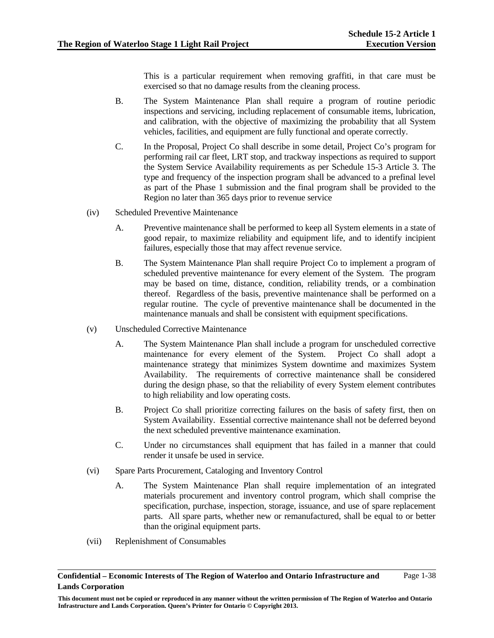This is a particular requirement when removing graffiti, in that care must be exercised so that no damage results from the cleaning process.

- B. The System Maintenance Plan shall require a program of routine periodic inspections and servicing, including replacement of consumable items, lubrication, and calibration, with the objective of maximizing the probability that all System vehicles, facilities, and equipment are fully functional and operate correctly.
- C. In the Proposal, Project Co shall describe in some detail, Project Co's program for performing rail car fleet, LRT stop, and trackway inspections as required to support the System Service Availability requirements as per Schedule 15-3 Article 3. The type and frequency of the inspection program shall be advanced to a prefinal level as part of the Phase 1 submission and the final program shall be provided to the Region no later than 365 days prior to revenue service
- (iv) Scheduled Preventive Maintenance
	- A. Preventive maintenance shall be performed to keep all System elements in a state of good repair, to maximize reliability and equipment life, and to identify incipient failures, especially those that may affect revenue service.
	- B. The System Maintenance Plan shall require Project Co to implement a program of scheduled preventive maintenance for every element of the System. The program may be based on time, distance, condition, reliability trends, or a combination thereof. Regardless of the basis, preventive maintenance shall be performed on a regular routine. The cycle of preventive maintenance shall be documented in the maintenance manuals and shall be consistent with equipment specifications.
- (v) Unscheduled Corrective Maintenance
	- A. The System Maintenance Plan shall include a program for unscheduled corrective maintenance for every element of the System. Project Co shall adopt a maintenance strategy that minimizes System downtime and maximizes System Availability. The requirements of corrective maintenance shall be considered during the design phase, so that the reliability of every System element contributes to high reliability and low operating costs.
	- B. Project Co shall prioritize correcting failures on the basis of safety first, then on System Availability. Essential corrective maintenance shall not be deferred beyond the next scheduled preventive maintenance examination.
	- C. Under no circumstances shall equipment that has failed in a manner that could render it unsafe be used in service.
- (vi) Spare Parts Procurement, Cataloging and Inventory Control
	- A. The System Maintenance Plan shall require implementation of an integrated materials procurement and inventory control program, which shall comprise the specification, purchase, inspection, storage, issuance, and use of spare replacement parts. All spare parts, whether new or remanufactured, shall be equal to or better than the original equipment parts.
- (vii) Replenishment of Consumables

**This document must not be copied or reproduced in any manner without the written permission of The Region of Waterloo and Ontario Infrastructure and Lands Corporation. Queen's Printer for Ontario © Copyright 2013.**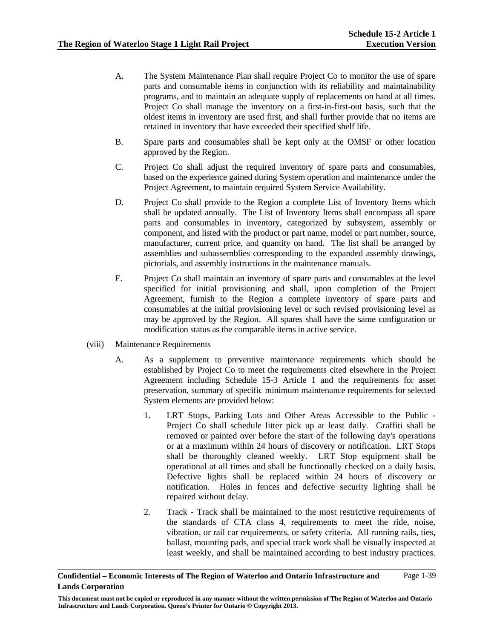- A. The System Maintenance Plan shall require Project Co to monitor the use of spare parts and consumable items in conjunction with its reliability and maintainability programs, and to maintain an adequate supply of replacements on hand at all times. Project Co shall manage the inventory on a first-in-first-out basis, such that the oldest items in inventory are used first, and shall further provide that no items are retained in inventory that have exceeded their specified shelf life.
- B. Spare parts and consumables shall be kept only at the OMSF or other location approved by the Region.
- C. Project Co shall adjust the required inventory of spare parts and consumables, based on the experience gained during System operation and maintenance under the Project Agreement, to maintain required System Service Availability.
- D. Project Co shall provide to the Region a complete List of Inventory Items which shall be updated annually. The List of Inventory Items shall encompass all spare parts and consumables in inventory, categorized by subsystem, assembly or component, and listed with the product or part name, model or part number, source, manufacturer, current price, and quantity on hand. The list shall be arranged by assemblies and subassemblies corresponding to the expanded assembly drawings, pictorials, and assembly instructions in the maintenance manuals.
- E. Project Co shall maintain an inventory of spare parts and consumables at the level specified for initial provisioning and shall, upon completion of the Project Agreement, furnish to the Region a complete inventory of spare parts and consumables at the initial provisioning level or such revised provisioning level as may be approved by the Region. All spares shall have the same configuration or modification status as the comparable items in active service.
- (viii) Maintenance Requirements
	- A. As a supplement to preventive maintenance requirements which should be established by Project Co to meet the requirements cited elsewhere in the Project Agreement including Schedule 15-3 Article 1 and the requirements for asset preservation, summary of specific minimum maintenance requirements for selected System elements are provided below:
		- 1. LRT Stops, Parking Lots and Other Areas Accessible to the Public Project Co shall schedule litter pick up at least daily. Graffiti shall be removed or painted over before the start of the following day's operations or at a maximum within 24 hours of discovery or notification. LRT Stops shall be thoroughly cleaned weekly. LRT Stop equipment shall be operational at all times and shall be functionally checked on a daily basis. Defective lights shall be replaced within 24 hours of discovery or notification. Holes in fences and defective security lighting shall be repaired without delay.
		- 2. Track Track shall be maintained to the most restrictive requirements of the standards of CTA class 4, requirements to meet the ride, noise, vibration, or rail car requirements, or safety criteria. All running rails, ties, ballast, mounting pads, and special track work shall be visually inspected at least weekly, and shall be maintained according to best industry practices.